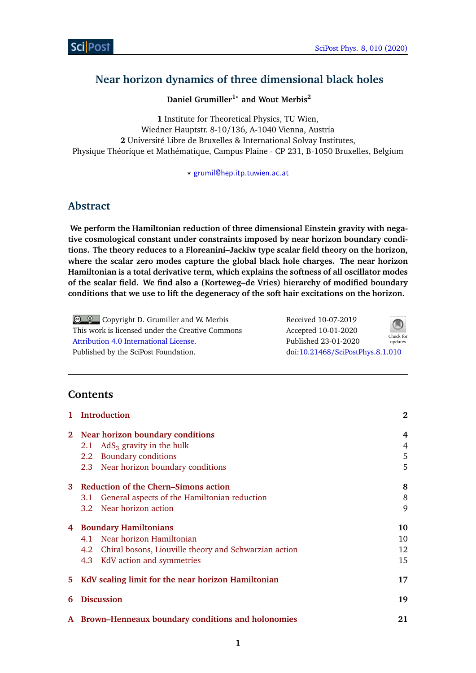# **Near horizon dynamics of three dimensional black holes**

**Daniel Grumiller1***?* **and Wout Merbis<sup>2</sup>**

**1** Institute for Theoretical Physics, TU Wien, Wiedner Hauptstr. 8-10/136, A-1040 Vienna, Austria **2** Université Libre de Bruxelles & International Solvay Institutes, Physique Théorique et Mathématique, Campus Plaine - CP 231, B-1050 Bruxelles, Belgium

*?* [grumil@hep.itp.tuwien.ac.at](mailto:grumil@hep.itp.tuwien.ac.at)

# **Abstract**

**We perform the Hamiltonian reduction of three dimensional Einstein gravity with negative cosmological constant under constraints imposed by near horizon boundary conditions. The theory reduces to a Floreanini–Jackiw type scalar field theory on the horizon, where the scalar zero modes capture the global black hole charges. The near horizon Hamiltonian is a total derivative term, which explains the softness of all oscillator modes of the scalar field. We find also a (Korteweg–de Vries) hierarchy of modified boundary conditions that we use to lift the degeneracy of the soft hair excitations on the horizon.**

| $\bigcirc$ $\bigcirc$ Copyright D. Grumiller and W. Merbis | Received 10-07-2019              | $\bigcirc$           |
|------------------------------------------------------------|----------------------------------|----------------------|
| This work is licensed under the Creative Commons           | Accepted 10-01-2020              |                      |
| Attribution 4.0 International License.                     | Published 23-01-2020             | Check for<br>updates |
| Published by the SciPost Foundation.                       | doi:10.21468/SciPostPhys.8.1.010 |                      |

# **Contents**

| 1           | <b>Introduction</b>                                       | $\mathbf{2}$ |
|-------------|-----------------------------------------------------------|--------------|
| $2^{\circ}$ | Near horizon boundary conditions                          | 4            |
|             | 2.1 AdS <sub>3</sub> gravity in the bulk                  | 4            |
|             | 2.2 Boundary conditions                                   | 5            |
|             | 2.3 Near horizon boundary conditions                      | 5            |
| 3           | Reduction of the Chern-Simons action                      | 8            |
|             | General aspects of the Hamiltonian reduction<br>3.1       | 8            |
|             | 3.2 Near horizon action                                   | 9            |
| 4           | <b>Boundary Hamiltonians</b>                              | 10           |
|             | 4.1 Near horizon Hamiltonian                              | 10           |
|             | 4.2 Chiral bosons, Liouville theory and Schwarzian action | 12           |
|             | 4.3 KdV action and symmetries                             | 15           |
| 5.          | KdV scaling limit for the near horizon Hamiltonian        | 17           |
| 6           | <b>Discussion</b>                                         | 19           |
|             | A Brown–Henneaux boundary conditions and holonomies       | 21           |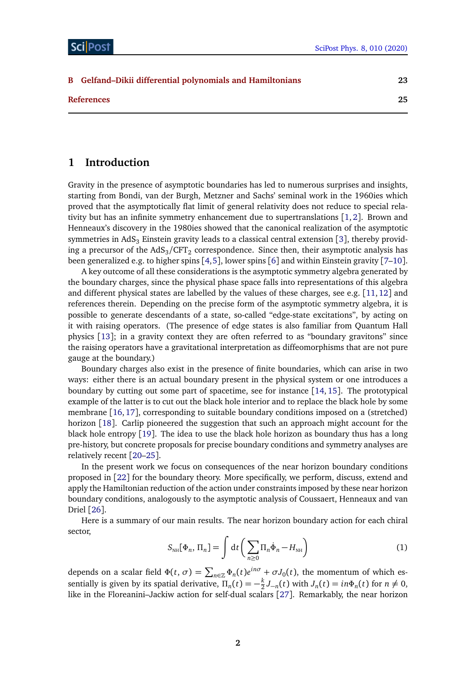| <b>B</b> Gelfand-Dikii differential polynomials and Hamiltonians | 23 |
|------------------------------------------------------------------|----|
| <b>References</b>                                                | 25 |

## <span id="page-1-0"></span>**1 Introduction**

Gravity in the presence of asymptotic boundaries has led to numerous surprises and insights, starting from Bondi, van der Burgh, Metzner and Sachs' seminal work in the 1960ies which proved that the asymptotically flat limit of general relativity does not reduce to special relativity but has an infinite symmetry enhancement due to supertranslations  $[1, 2]$  $[1, 2]$  $[1, 2]$  $[1, 2]$  $[1, 2]$ . Brown and Henneaux's discovery in the 1980ies showed that the canonical realization of the asymptotic symmetries in AdS<sub>[3](#page-24-2)</sub> Einstein gravity leads to a classical central extension [3], thereby providing a precursor of the AdS $_{3}/{\rm CFT}_2$  correspondence. Since then, their asymptotic analysis has been generalized e.g. to higher spins [[4,](#page-24-3)[5](#page-24-4)], lower spins [[6](#page-24-5)] and within Einstein gravity [[7](#page-24-6)[–10](#page-24-7)].

A key outcome of all these considerations is the asymptotic symmetry algebra generated by the boundary charges, since the physical phase space falls into representations of this algebra and different physical states are labelled by the values of these charges, see e.g. [[11,](#page-24-8) [12](#page-24-9)] and references therein. Depending on the precise form of the asymptotic symmetry algebra, it is possible to generate descendants of a state, so-called "edge-state excitations", by acting on it with raising operators. (The presence of edge states is also familiar from Quantum Hall physics [[13](#page-24-10)]; in a gravity context they are often referred to as "boundary gravitons" since the raising operators have a gravitational interpretation as diffeomorphisms that are not pure gauge at the boundary.)

Boundary charges also exist in the presence of finite boundaries, which can arise in two ways: either there is an actual boundary present in the physical system or one introduces a boundary by cutting out some part of spacetime, see for instance [[14,](#page-24-11) [15](#page-24-12)]. The prototypical example of the latter is to cut out the black hole interior and to replace the black hole by some membrane [[16,](#page-24-13)[17](#page-25-0)], corresponding to suitable boundary conditions imposed on a (stretched) horizon [[18](#page-25-1)]. Carlip pioneered the suggestion that such an approach might account for the black hole entropy [[19](#page-25-2)]. The idea to use the black hole horizon as boundary thus has a long pre-history, but concrete proposals for precise boundary conditions and symmetry analyses are relatively recent [[20](#page-25-3)[–25](#page-25-4)].

In the present work we focus on consequences of the near horizon boundary conditions proposed in [[22](#page-25-5)] for the boundary theory. More specifically, we perform, discuss, extend and apply the Hamiltonian reduction of the action under constraints imposed by these near horizon boundary conditions, analogously to the asymptotic analysis of Coussaert, Henneaux and van Driel [[26](#page-25-6)].

<span id="page-1-1"></span>Here is a summary of our main results. The near horizon boundary action for each chiral sector,

$$
S_{\scriptscriptstyle \rm NH}[\Phi_n, \Pi_n] = \int \mathrm{d}t \left( \sum_{n \ge 0} \Pi_n \dot{\Phi}_n - H_{\scriptscriptstyle \rm NH} \right) \tag{1}
$$

depends on a scalar field  $\Phi(t, \sigma) = \sum_{n \in \mathbb{Z}} \Phi_n(t) e^{in\sigma} + \sigma J_0(t)$ , the momentum of which essentially is given by its spatial derivative,  $\Pi_n(t) = -\frac{k}{2}$  $\frac{k}{2}J_{-n}(t)$  with  $J_n(t) = in\Phi_n(t)$  for  $n \neq 0$ , like in the Floreanini–Jackiw action for self-dual scalars [[27](#page-25-7)]. Remarkably, the near horizon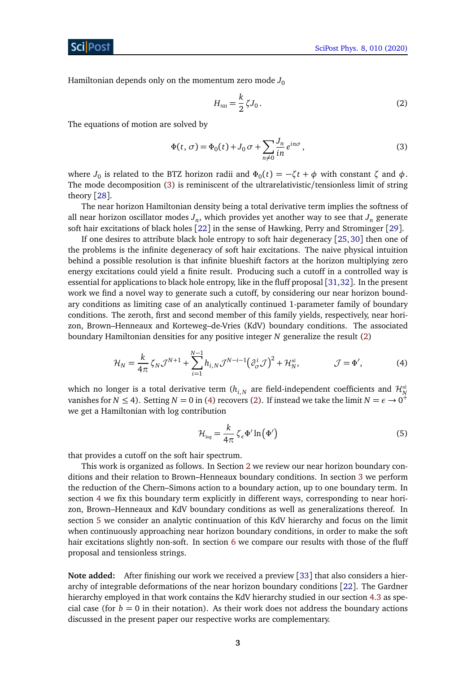ScilPos

Hamiltonian depends only on the momentum zero mode  $J_0$ 

<span id="page-2-1"></span><span id="page-2-0"></span>
$$
H_{\rm NH} = \frac{k}{2} \zeta J_0 \,. \tag{2}
$$

The equations of motion are solved by

$$
\Phi(t,\,\sigma) = \Phi_0(t) + J_0 \,\sigma + \sum_{n \neq 0} \frac{J_n}{in} e^{in\sigma},\tag{3}
$$

where  $J_0$  is related to the BTZ horizon radii and  $\Phi_0(t) = -\zeta t + \phi$  with constant  $\zeta$  and  $\phi$ . The mode decomposition [\(3\)](#page-2-0) is reminiscent of the ultrarelativistic/tensionless limit of string theory [[28](#page-25-8)].

The near horizon Hamiltonian density being a total derivative term implies the softness of all near horizon oscillator modes  $J_n$ , which provides yet another way to see that  $J_n$  generate soft hair excitations of black holes [[22](#page-25-5)] in the sense of Hawking, Perry and Strominger [[29](#page-25-9)].

If one desires to attribute black hole entropy to soft hair degeneracy [[25,](#page-25-4) [30](#page-25-10)] then one of the problems is the infinite degeneracy of soft hair excitations. The naive physical intuition behind a possible resolution is that infinite blueshift factors at the horizon multiplying zero energy excitations could yield a finite result. Producing such a cutoff in a controlled way is essential for applications to black hole entropy, like in the fluff proposal [[31,](#page-25-11)[32](#page-25-12)]. In the present work we find a novel way to generate such a cutoff, by considering our near horizon boundary conditions as limiting case of an analytically continued 1-parameter family of boundary conditions. The zeroth, first and second member of this family yields, respectively, near horizon, Brown–Henneaux and Korteweg–de-Vries (KdV) boundary conditions. The associated boundary Hamiltonian densities for any positive integer *N* generalize the result [\(2\)](#page-2-1)

$$
\mathcal{H}_N = \frac{k}{4\pi} \zeta_N \mathcal{J}^{N+1} + \sum_{i=1}^{N-1} h_{i,N} \mathcal{J}^{N-i-1} \left(\partial_{\sigma}^i \mathcal{J}\right)^2 + \mathcal{H}_N^{\mathfrak{n}!}, \qquad \mathcal{J} = \Phi', \qquad (4)
$$

which no longer is a total derivative term  $(h_{i,N}$  are field-independent coefficients and  $\mathcal{H}^{\textrm{nl}}_{N}$ vanishes for  $N \le 4$ ). Setting  $N = 0$  in [\(4\)](#page-2-2) recovers [\(2\)](#page-2-1). If instead we take the limit  $N = \epsilon \to 0^+$ we get a Hamiltonian with log contribution

<span id="page-2-2"></span>
$$
\mathcal{H}_{\text{log}} = \frac{k}{4\pi} \zeta_e \Phi' \ln \left( \Phi' \right) \tag{5}
$$

that provides a cutoff on the soft hair spectrum.

This work is organized as follows. In Section [2](#page-3-0) we review our near horizon boundary conditions and their relation to Brown–Henneaux boundary conditions. In section [3](#page-7-0) we perform the reduction of the Chern–Simons action to a boundary action, up to one boundary term. In section [4](#page-9-0) we fix this boundary term explicitly in different ways, corresponding to near horizon, Brown–Henneaux and KdV boundary conditions as well as generalizations thereof. In section [5](#page-16-0) we consider an analytic continuation of this KdV hierarchy and focus on the limit when continuously approaching near horizon boundary conditions, in order to make the soft hair excitations slightly non-soft. In section [6](#page-18-0) we compare our results with those of the fluff proposal and tensionless strings.

**Note added:** After finishing our work we received a preview [[33](#page-26-0)] that also considers a hierarchy of integrable deformations of the near horizon boundary conditions [[22](#page-25-5)]. The Gardner hierarchy employed in that work contains the KdV hierarchy studied in our section [4.3](#page-14-0) as special case (for  $b = 0$  in their notation). As their work does not address the boundary actions discussed in the present paper our respective works are complementary.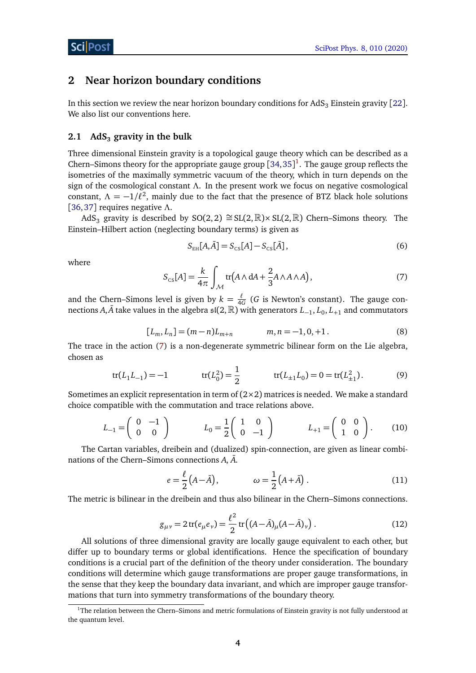## <span id="page-3-0"></span>**2 Near horizon boundary conditions**

In this section we review the near horizon boundary conditions for  $AdS<sub>3</sub>$  Einstein gravity [[22](#page-25-5)]. We also list our conventions here.

### <span id="page-3-1"></span>**2.1 AdS<sup>3</sup> gravity in the bulk**

Three dimensional Einstein gravity is a topological gauge theory which can be described as a Chern–Simons theory for the appropriate gauge group  $[34, 35]$  $[34, 35]$  $[34, 35]$  $[34, 35]$  $[34, 35]$ <sup>[1](#page-3-2)</sup>. The gauge group reflects the isometries of the maximally symmetric vacuum of the theory, which in turn depends on the sign of the cosmological constant *Λ*. In the present work we focus on negative cosmological constant,  $\Lambda = -1/\ell^2$ , mainly due to the fact that the presence of BTZ black hole solutions [[36,](#page-26-3)[37](#page-26-4)] requires negative *Λ*.

AdS<sub>3</sub> gravity is described by SO(2, 2)  $\cong$  SL(2, R)× SL(2, R) Chern–Simons theory. The Einstein–Hilbert action (neglecting boundary terms) is given as

<span id="page-3-5"></span>
$$
S_{EH}[A,\bar{A}] = S_{CS}[A] - S_{CS}[\bar{A}], \qquad (6)
$$

<span id="page-3-3"></span>where

$$
S_{\text{cs}}[A] = \frac{k}{4\pi} \int_{\mathcal{M}} \text{tr}\big(A \wedge \text{d}A + \frac{2}{3}A \wedge A \wedge A\big),\tag{7}
$$

and the Chern–Simons level is given by  $k = \frac{\ell}{40}$  $\frac{t}{4G}$  (*G* is Newton's constant). The gauge connections *A*, *A* take values in the algebra  $\mathfrak{sl}(2,\mathbb{R})$  with generators  $L_{-1}$ ,  $L_0$ ,  $L_{+1}$  and commutators

$$
[L_m, L_n] = (m-n)L_{m+n} \qquad m, n = -1, 0, +1. \tag{8}
$$

The trace in the action [\(7\)](#page-3-3) is a non-degenerate symmetric bilinear form on the Lie algebra, chosen as

$$
tr(L_1 L_{-1}) = -1 \qquad tr(L_0^2) = \frac{1}{2} \qquad tr(L_{\pm 1} L_0) = 0 = tr(L_{\pm 1}^2). \tag{9}
$$

Sometimes an explicit representation in term of  $(2\times 2)$  matrices is needed. We make a standard choice compatible with the commutation and trace relations above.

$$
L_{-1} = \begin{pmatrix} 0 & -1 \\ 0 & 0 \end{pmatrix} \qquad L_0 = \frac{1}{2} \begin{pmatrix} 1 & 0 \\ 0 & -1 \end{pmatrix} \qquad L_{+1} = \begin{pmatrix} 0 & 0 \\ 1 & 0 \end{pmatrix}.
$$
 (10)

The Cartan variables, dreibein and (dualized) spin-connection, are given as linear combinations of the Chern–Simons connections A,  $\bar{A}$ .

$$
e = \frac{\ell}{2} (A - \bar{A}), \qquad \qquad \omega = \frac{1}{2} (A + \bar{A}). \tag{11}
$$

<span id="page-3-4"></span>The metric is bilinear in the dreibein and thus also bilinear in the Chern–Simons connections.

$$
g_{\mu\nu} = 2 \operatorname{tr}(e_{\mu}e_{\nu}) = \frac{\ell^2}{2} \operatorname{tr}((A - \bar{A})_{\mu}(A - \bar{A})_{\nu}).
$$
 (12)

All solutions of three dimensional gravity are locally gauge equivalent to each other, but differ up to boundary terms or global identifications. Hence the specification of boundary conditions is a crucial part of the definition of the theory under consideration. The boundary conditions will determine which gauge transformations are proper gauge transformations, in the sense that they keep the boundary data invariant, and which are improper gauge transformations that turn into symmetry transformations of the boundary theory.

<span id="page-3-2"></span><sup>&</sup>lt;sup>1</sup>The relation between the Chern–Simons and metric formulations of Einstein gravity is not fully understood at the quantum level.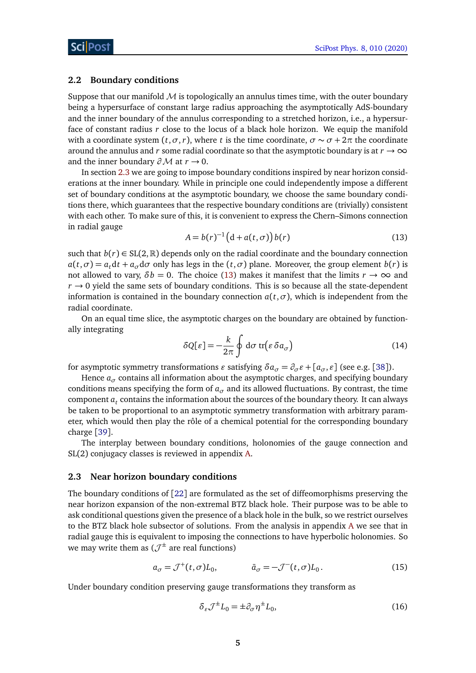### <span id="page-4-0"></span>**2.2 Boundary conditions**

Suppose that our manifold  $M$  is topologically an annulus times time, with the outer boundary being a hypersurface of constant large radius approaching the asymptotically AdS-boundary and the inner boundary of the annulus corresponding to a stretched horizon, i.e., a hypersurface of constant radius *r* close to the locus of a black hole horizon. We equip the manifold with a coordinate system  $(t, \sigma, r)$ , where *t* is the time coordinate,  $\sigma \sim \sigma + 2\pi$  the coordinate around the annulus and *r* some radial coordinate so that the asymptotic boundary is at  $r \to \infty$ and the inner boundary  $\partial M$  at  $r \to 0$ .

In section [2.3](#page-4-1) we are going to impose boundary conditions inspired by near horizon considerations at the inner boundary. While in principle one could independently impose a different set of boundary conditions at the asymptotic boundary, we choose the same boundary conditions there, which guarantees that the respective boundary conditions are (trivially) consistent with each other. To make sure of this, it is convenient to express the Chern–Simons connection in radial gauge

<span id="page-4-2"></span>
$$
A = b(r)^{-1} \left( d + a(t, \sigma) \right) b(r) \tag{13}
$$

such that  $b(r) \in SL(2,\mathbb{R})$  depends only on the radial coordinate and the boundary connection  $a(t, \sigma) = a_t dt + a_\sigma d\sigma$  only has legs in the  $(t, \sigma)$  plane. Moreover, the group element  $b(r)$  is not allowed to vary,  $\delta b = 0$ . The choice [\(13\)](#page-4-2) makes it manifest that the limits  $r \to \infty$  and  $r \rightarrow 0$  yield the same sets of boundary conditions. This is so because all the state-dependent information is contained in the boundary connection  $a(t, \sigma)$ , which is independent from the radial coordinate.

<span id="page-4-3"></span>On an equal time slice, the asymptotic charges on the boundary are obtained by functionally integrating

$$
\delta Q[\varepsilon] = -\frac{k}{2\pi} \oint \mathrm{d}\sigma \, \mathrm{tr}(\varepsilon \, \delta a_{\sigma}) \tag{14}
$$

for asymptotic symmetry transformations  $\varepsilon$  satisfying  $\delta a_{\sigma} = \partial_{\sigma} \varepsilon + [a_{\sigma}, \varepsilon]$  (see e.g. [[38](#page-26-5)]).

Hence  $a_{\sigma}$  contains all information about the asymptotic charges, and specifying boundary conditions means specifying the form of  $a_{\sigma}$  and its allowed fluctuations. By contrast, the time component  $a_t$  contains the information about the sources of the boundary theory. It can always be taken to be proportional to an asymptotic symmetry transformation with arbitrary parameter, which would then play the rôle of a chemical potential for the corresponding boundary charge [[39](#page-26-6)].

The interplay between boundary conditions, holonomies of the gauge connection and SL(2) conjugacy classes is reviewed in appendix [A.](#page-20-0)

### <span id="page-4-1"></span>**2.3 Near horizon boundary conditions**

The boundary conditions of [[22](#page-25-5)] are formulated as the set of diffeomorphisms preserving the near horizon expansion of the non-extremal BTZ black hole. Their purpose was to be able to ask conditional questions given the presence of a black hole in the bulk, so we restrict ourselves to the BTZ black hole subsector of solutions. From the analysis in appendix [A](#page-20-0) we see that in radial gauge this is equivalent to imposing the connections to have hyperbolic holonomies. So we may write them as  $(\mathcal{J}^{\pm})$  are real functions)

$$
a_{\sigma} = \mathcal{J}^+(t, \sigma)L_0, \qquad \bar{a}_{\sigma} = -\mathcal{J}^-(t, \sigma)L_0.
$$
 (15)

Under boundary condition preserving gauge transformations they transform as

<span id="page-4-5"></span><span id="page-4-4"></span>
$$
\delta_{\varepsilon} \mathcal{J}^{\pm} L_0 = \pm \partial_{\sigma} \eta^{\pm} L_0,\tag{16}
$$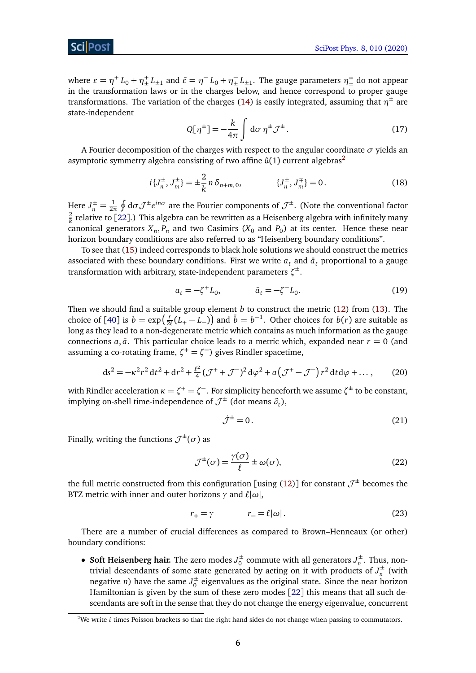where  $\varepsilon = \eta^+ L_0 + \eta^+_{\pm} L_{\pm 1}$  and  $\bar{\varepsilon} = \eta^- L_0 + \eta^-_{\pm} L_{\pm 1}$ . The gauge parameters  $\eta^{\pm}_{\pm}$  do not appear in the transformation laws or in the charges below, and hence correspond to proper gauge transformations. The variation of the charges [\(14\)](#page-4-3) is easily integrated, assuming that  $\eta^{\pm}$  are state-independent

<span id="page-5-1"></span>
$$
Q[\eta^{\pm}] = -\frac{k}{4\pi} \int d\sigma \, \eta^{\pm} \mathcal{J}^{\pm} \,. \tag{17}
$$

A Fourier decomposition of the charges with respect to the angular coordinate *σ* yields an asymptotic symmetry algebra consisting of two affine  $\hat{u}(1)$  current algebras<sup>[2](#page-5-0)</sup>

$$
i\{J_n^{\pm}, J_m^{\pm}\} = \pm \frac{2}{k} n \delta_{n+m,0}, \qquad \{J_n^{\pm}, J_m^{\mp}\} = 0. \qquad (18)
$$

Here  $J_n^{\pm} = \frac{1}{2n}$  $\frac{1}{2\pi}\oint d\sigma \mathcal{J}^{\pm}e^{in\sigma}$  are the Fourier components of  $\mathcal{J}^{\pm}$ . (Note the conventional factor 2  $\frac{2}{k}$  relative to [[22](#page-25-5)].) This algebra can be rewritten as a Heisenberg algebra with infinitely many canonical generators  $X_n$ ,  $P_n$  and two Casimirs ( $X_0$  and  $P_0$ ) at its center. Hence these near horizon boundary conditions are also referred to as "Heisenberg boundary conditions".

To see that [\(15\)](#page-4-4) indeed corresponds to black hole solutions we should construct the metrics associated with these boundary conditions. First we write  $a_t$  and  $\bar{a}_t$  proportional to a gauge transformation with arbitrary, state-independent parameters *ζ* ±.

<span id="page-5-2"></span>
$$
a_t = -\zeta^+ L_0, \qquad \qquad \bar{a}_t = -\zeta^- L_0. \tag{19}
$$

Then we should find a suitable group element *b* to construct the metric [\(12\)](#page-3-4) from [\(13\)](#page-4-2). The choice of [[40](#page-26-7)] is  $b = \exp(\frac{r}{2a})$  $\frac{r}{2\ell}(L_+ - L_-)$  and  $\bar{b} = b^{-1}$ . Other choices for *b*(*r*) are suitable as long as they lead to a non-degenerate metric which contains as much information as the gauge connections  $a, \bar{a}$ . This particular choice leads to a metric which, expanded near  $r = 0$  (and assuming a co-rotating frame, ζ<sup>+</sup> = ζ<sup>−</sup>) gives Rindler spacetime,

$$
ds^{2} = -\kappa^{2} r^{2} dt^{2} + dr^{2} + \frac{\ell^{2}}{4} (\mathcal{J}^{+} + \mathcal{J}^{-})^{2} d\varphi^{2} + a (\mathcal{J}^{+} - \mathcal{J}^{-}) r^{2} dt d\varphi + ..., \qquad (20)
$$

with Rindler acceleration  $\kappa = \zeta^+ = \zeta^-$ . For simplicity henceforth we assume  $\zeta^\pm$  to be constant, implying on-shell time-independence of  $\mathcal{J}^{\pm}$  (dot means  $\partial_t$ ),

$$
\dot{\mathcal{J}}^{\pm} = 0. \tag{21}
$$

Finally, writing the functions  $\mathcal{J}^{\pm}(\sigma)$  as

$$
\mathcal{J}^{\pm}(\sigma) = \frac{\gamma(\sigma)}{\ell} \pm \omega(\sigma),\tag{22}
$$

the full metric constructed from this configuration [using [\(12\)](#page-3-4)] for constant  $\mathcal{J}^\pm$  becomes the BTZ metric with inner and outer horizons  $\gamma$  and  $\ell|\omega|$ ,

$$
r_{+} = \gamma \qquad \qquad r_{-} = \ell |\omega| \,. \tag{23}
$$

There are a number of crucial differences as compared to Brown–Henneaux (or other) boundary conditions:

• **Soft Heisenberg hair.** The zero modes  $J_0^{\pm}$  $\frac{1}{0}$  commute with all generators  $J_n^{\pm}$  $\int_{n}^{\pm}$ . Thus, nontrivial descendants of some state generated by acting on it with products of  $J_n^{\pm}$  $n^{\pm}$  (with negative *n*) have the same  $J_0^{\pm}$  $_0^{\pm}$  eigenvalues as the original state. Since the near horizon Hamiltonian is given by the sum of these zero modes [[22](#page-25-5)] this means that all such descendants are soft in the sense that they do not change the energy eigenvalue, concurrent

<span id="page-5-0"></span><sup>&</sup>lt;sup>2</sup>We write *i* times Poisson brackets so that the right hand sides do not change when passing to commutators.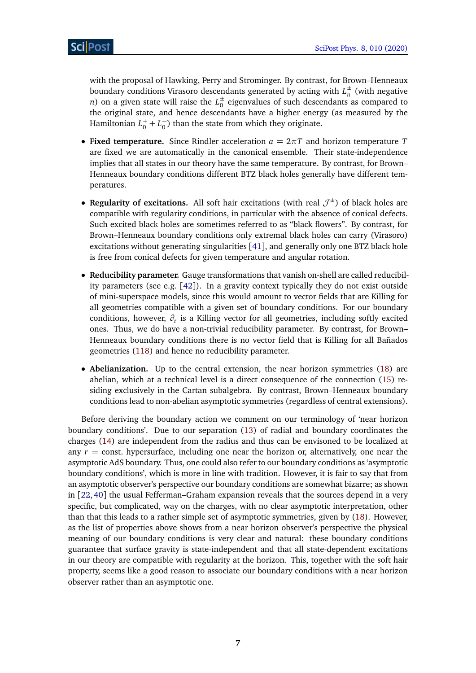with the proposal of Hawking, Perry and Strominger. By contrast, for Brown–Henneaux boundary conditions Virasoro descendants generated by acting with  $L_n^{\pm}$  $\frac{1}{n}$  (with negative *n*) on a given state will raise the  $L_0^{\pm}$  $_0^{\pm}$  eigenvalues of such descendants as compared to the original state, and hence descendants have a higher energy (as measured by the Hamiltonian  $L_0^+ + L_0^ _{0}^{-}$ ) than the state from which they originate.

- **Fixed temperature.** Since Rindler acceleration  $a = 2\pi T$  and horizon temperature *T* are fixed we are automatically in the canonical ensemble. Their state-independence implies that all states in our theory have the same temperature. By contrast, for Brown– Henneaux boundary conditions different BTZ black holes generally have different temperatures.
- Regularity of excitations. All soft hair excitations (with real  $\mathcal{J}^{\pm}$ ) of black holes are compatible with regularity conditions, in particular with the absence of conical defects. Such excited black holes are sometimes referred to as "black flowers". By contrast, for Brown–Henneaux boundary conditions only extremal black holes can carry (Virasoro) excitations without generating singularities [[41](#page-26-8)], and generally only one BTZ black hole is free from conical defects for given temperature and angular rotation.
- **Reducibility parameter.** Gauge transformations that vanish on-shell are called reducibility parameters (see e.g. [[42](#page-26-9)]). In a gravity context typically they do not exist outside of mini-superspace models, since this would amount to vector fields that are Killing for all geometries compatible with a given set of boundary conditions. For our boundary conditions, however, *∂<sup>t</sup>* is a Killing vector for all geometries, including softly excited ones. Thus, we do have a non-trivial reducibility parameter. By contrast, for Brown– Henneaux boundary conditions there is no vector field that is Killing for all Bañados geometries [\(118\)](#page-21-0) and hence no reducibility parameter.
- **Abelianization.** Up to the central extension, the near horizon symmetries [\(18\)](#page-5-1) are abelian, which at a technical level is a direct consequence of the connection [\(15\)](#page-4-4) residing exclusively in the Cartan subalgebra. By contrast, Brown–Henneaux boundary conditions lead to non-abelian asymptotic symmetries (regardless of central extensions).

Before deriving the boundary action we comment on our terminology of 'near horizon boundary conditions'. Due to our separation [\(13\)](#page-4-2) of radial and boundary coordinates the charges [\(14\)](#page-4-3) are independent from the radius and thus can be envisoned to be localized at any  $r =$  const. hypersurface, including one near the horizon or, alternatively, one near the asymptotic AdS boundary. Thus, one could also refer to our boundary conditions as 'asymptotic boundary conditions', which is more in line with tradition. However, it is fair to say that from an asymptotic observer's perspective our boundary conditions are somewhat bizarre; as shown in [[22,](#page-25-5) [40](#page-26-7)] the usual Fefferman–Graham expansion reveals that the sources depend in a very specific, but complicated, way on the charges, with no clear asymptotic interpretation, other than that this leads to a rather simple set of asymptotic symmetries, given by [\(18\)](#page-5-1). However, as the list of properties above shows from a near horizon observer's perspective the physical meaning of our boundary conditions is very clear and natural: these boundary conditions guarantee that surface gravity is state-independent and that all state-dependent excitations in our theory are compatible with regularity at the horizon. This, together with the soft hair property, seems like a good reason to associate our boundary conditions with a near horizon observer rather than an asymptotic one.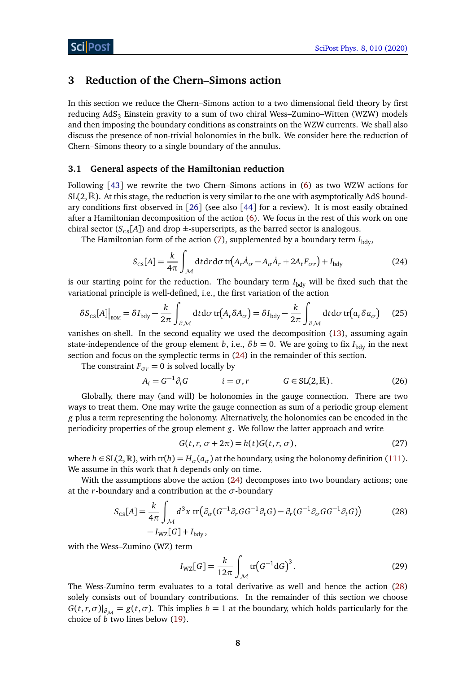# <span id="page-7-0"></span>**3 Reduction of the Chern–Simons action**

In this section we reduce the Chern–Simons action to a two dimensional field theory by first reducing  $AdS<sub>3</sub>$  Einstein gravity to a sum of two chiral Wess–Zumino–Witten (WZW) models and then imposing the boundary conditions as constraints on the WZW currents. We shall also discuss the presence of non-trivial holonomies in the bulk. We consider here the reduction of Chern–Simons theory to a single boundary of the annulus.

### <span id="page-7-1"></span>**3.1 General aspects of the Hamiltonian reduction**

Following [[43](#page-26-10)] we rewrite the two Chern–Simons actions in [\(6\)](#page-3-5) as two WZW actions for  $SL(2,\mathbb{R})$ . At this stage, the reduction is very similar to the one with asymptotically AdS boundary conditions first observed in [[26](#page-25-6)] (see also [[44](#page-26-11)] for a review). It is most easily obtained after a Hamiltonian decomposition of the action [\(6\)](#page-3-5). We focus in the rest of this work on one chiral sector ( $S_{CS}[A]$ ) and drop  $\pm$ -superscripts, as the barred sector is analogous.

The Hamiltonian form of the action  $(7)$ , supplemented by a boundary term  $I_{\text{bdy}}$ ,

<span id="page-7-6"></span><span id="page-7-2"></span>
$$
S_{\rm cs}[A] = \frac{k}{4\pi} \int_{\mathcal{M}} dt dr d\sigma \, tr(A_r \dot{A}_\sigma - A_\sigma \dot{A}_r + 2A_t F_{\sigma r}) + I_{\rm bdy}
$$
(24)

is our starting point for the reduction. The boundary term  $I_{\text{bdy}}$  will be fixed such that the variational principle is well-defined, i.e., the first variation of the action

$$
\delta S_{\rm cs}[A]\Big|_{\rm EOM} = \delta I_{\rm bdy} - \frac{k}{2\pi} \int_{\partial \mathcal{M}} dt d\sigma \, \text{tr}(A_t \delta A_\sigma) = \delta I_{\rm bdy} - \frac{k}{2\pi} \int_{\partial \mathcal{M}} dt d\sigma \, \text{tr}(a_t \delta a_\sigma) \tag{25}
$$

vanishes on-shell. In the second equality we used the decomposition [\(13\)](#page-4-2), assuming again state-independence of the group element *b*, i.e.,  $\delta b = 0$ . We are going to fix  $I_{\text{bdy}}$  in the next section and focus on the symplectic terms in [\(24\)](#page-7-2) in the remainder of this section.

The constraint  $F_{\sigma r} = 0$  is solved locally by

$$
A_i = G^{-1} \partial_i G \qquad i = \sigma, r \qquad G \in SL(2, \mathbb{R}). \tag{26}
$$

Globally, there may (and will) be holonomies in the gauge connection. There are two ways to treat them. One may write the gauge connection as sum of a periodic group element *g* plus a term representing the holonomy. Alternatively, the holonomies can be encoded in the periodicity properties of the group element *g*. We follow the latter approach and write

<span id="page-7-5"></span>
$$
G(t, r, \sigma + 2\pi) = h(t)G(t, r, \sigma),
$$
\n(27)

where  $h \in SL(2,\mathbb{R})$ , with tr( $h$ ) =  $H_{\sigma}(a_{\sigma})$  at the boundary, using the holonomy definition [\(111\)](#page-20-1). We assume in this work that *h* depends only on time.

With the assumptions above the action [\(24\)](#page-7-2) decomposes into two boundary actions; one at the *r*-boundary and a contribution at the *σ*-boundary

$$
S_{\rm cs}[A] = \frac{k}{4\pi} \int_{\mathcal{M}} d^3x \, \text{tr} \left( \partial_{\sigma} (G^{-1} \partial_r G G^{-1} \partial_t G) - \partial_r (G^{-1} \partial_{\sigma} G G^{-1} \partial_t G) \right) \tag{28}
$$

$$
- I_{\rm WZ}[G] + I_{\rm bdy},
$$

with the Wess–Zumino (WZ) term

<span id="page-7-4"></span><span id="page-7-3"></span>
$$
I_{\rm WZ}[G] = \frac{k}{12\pi} \int_{\mathcal{M}} tr\left(G^{-1} dG\right)^3.
$$
 (29)

The Wess-Zumino term evaluates to a total derivative as well and hence the action [\(28\)](#page-7-3) solely consists out of boundary contributions. In the remainder of this section we choose  $G(t, r, \sigma)|_{\partial M} = g(t, \sigma)$ . This implies  $b = 1$  at the boundary, which holds particularly for the choice of *b* two lines below [\(19\)](#page-5-2).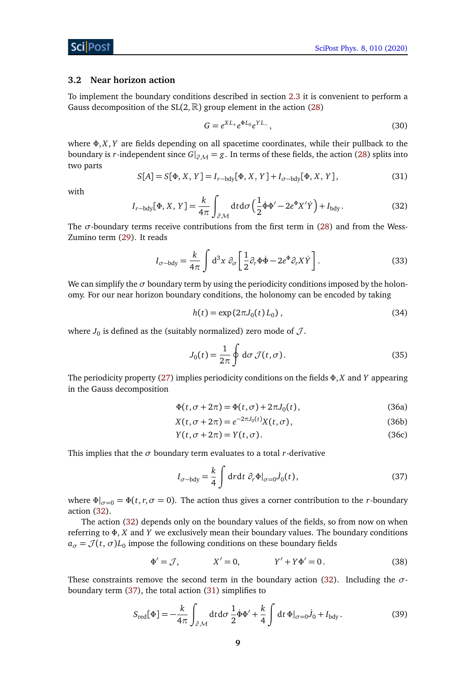#### <span id="page-8-0"></span>**3.2 Near horizon action**

To implement the boundary conditions described in section [2.3](#page-4-1) it is convenient to perform a Gauss decomposition of the  $SL(2,\mathbb{R})$  group element in the action [\(28\)](#page-7-3)

<span id="page-8-5"></span>
$$
G = e^{XL_+}e^{\Phi L_0}e^{YL_-}, \qquad (30)
$$

where *Φ*, *X*, *Y* are fields depending on all spacetime coordinates, while their pullback to the boundary is *r*-independent since  $G|_{\partial M} = g$ . In terms of these fields, the action [\(28\)](#page-7-3) splits into two parts

<span id="page-8-3"></span>
$$
S[A] = S[\Phi, X, Y] = I_{r-\text{bdy}}[\Phi, X, Y] + I_{\sigma-\text{bdy}}[\Phi, X, Y],
$$
\n(31)

<span id="page-8-1"></span>with

$$
I_{r-\text{bdy}}[\Phi, X, Y] = \frac{k}{4\pi} \int_{\partial \mathcal{M}} \text{d}t \,\text{d}\sigma \left(\frac{1}{2} \dot{\Phi} \Phi' - 2e^{\Phi} X' \dot{Y}\right) + I_{\text{bdy}}.
$$
 (32)

The  $\sigma$ -boundary terms receive contributions from the first term in [\(28\)](#page-7-3) and from the Wess-Zumino term [\(29\)](#page-7-4). It reads

$$
I_{\sigma-\text{bdy}} = \frac{k}{4\pi} \int d^3x \; \partial_{\sigma} \left[ \frac{1}{2} \partial_r \Phi \dot{\Phi} - 2e^{\Phi} \partial_r X \dot{Y} \right]. \tag{33}
$$

We can simplify the  $\sigma$  boundary term by using the periodicity conditions imposed by the holonomy. For our near horizon boundary conditions, the holonomy can be encoded by taking

<span id="page-8-6"></span>
$$
h(t) = \exp(2\pi J_0(t) L_0),
$$
\n(34)

where  $J_0$  is defined as the (suitably normalized) zero mode of  $\mathcal{J}.$ 

$$
J_0(t) = \frac{1}{2\pi} \oint d\sigma \mathcal{J}(t, \sigma).
$$
 (35)

The periodicity property [\(27\)](#page-7-5) implies periodicity conditions on the fields *Φ*, *X* and *Y* appearing in the Gauss decomposition

$$
\Phi(t, \sigma + 2\pi) = \Phi(t, \sigma) + 2\pi J_0(t),\tag{36a}
$$

$$
X(t, \sigma + 2\pi) = e^{-2\pi J_0(t)} X(t, \sigma),
$$
\n(36b)

$$
Y(t, \sigma + 2\pi) = Y(t, \sigma).
$$
 (36c)

This implies that the  $\sigma$  boundary term evaluates to a total *r*-derivative

<span id="page-8-2"></span>
$$
I_{\sigma-\text{bdy}} = \frac{k}{4} \int \text{d}r \text{d}t \ \partial_r \Phi|_{\sigma=0} \dot{J}_0(t), \tag{37}
$$

where  $\Phi|_{\sigma=0} = \Phi(t, r, \sigma = 0)$ . The action thus gives a corner contribution to the *r*-boundary action [\(32\)](#page-8-1).

The action [\(32\)](#page-8-1) depends only on the boundary values of the fields, so from now on when referring to *Φ*, *X* and *Y* we exclusively mean their boundary values. The boundary conditions  $a_{\sigma} = \mathcal{J}(t, \sigma) L_0$  impose the following conditions on these boundary fields

<span id="page-8-4"></span>
$$
\Phi' = \mathcal{J}, \qquad X' = 0, \qquad Y' + Y\Phi' = 0. \tag{38}
$$

These constraints remove the second term in the boundary action [\(32\)](#page-8-1). Including the *σ*boundary term [\(37\)](#page-8-2), the total action [\(31\)](#page-8-3) simplifies to

$$
S_{\text{red}}[\Phi] = -\frac{k}{4\pi} \int_{\partial \mathcal{M}} \text{d}t \,\text{d}\sigma \, \frac{1}{2} \dot{\Phi} \Phi' + \frac{k}{4} \int \text{d}t \, \Phi|_{\sigma=0} \dot{J}_0 + I_{\text{bdy}}.
$$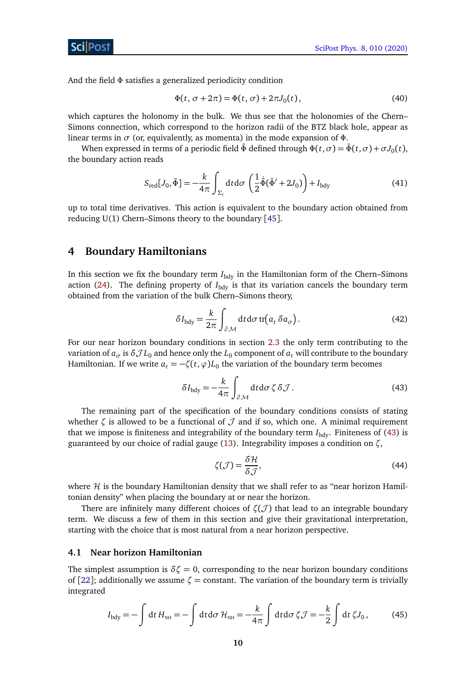ScilPos<sup>.</sup>

And the field *Φ* satisfies a generalized periodicity condition

<span id="page-9-3"></span>
$$
\Phi(t, \sigma + 2\pi) = \Phi(t, \sigma) + 2\pi J_0(t),\tag{40}
$$

which captures the holonomy in the bulk. We thus see that the holonomies of the Chern– Simons connection, which correspond to the horizon radii of the BTZ black hole, appear as linear terms in *σ* (or, equivalently, as momenta) in the mode expansion of *Φ*.

When expressed in terms of a periodic field  $\tilde{\Phi}$  defined through  $\Phi(t,\sigma) = \tilde{\Phi}(t,\sigma) + \sigma J_0(t)$ , the boundary action reads

$$
S_{\text{red}}[J_0, \tilde{\Phi}] = -\frac{k}{4\pi} \int_{\Sigma_i} dt d\sigma \left(\frac{1}{2}\dot{\tilde{\Phi}}(\tilde{\Phi}' + 2J_0)\right) + I_{\text{bdy}}
$$
(41)

up to total time derivatives. This action is equivalent to the boundary action obtained from reducing U(1) Chern–Simons theory to the boundary [[45](#page-26-12)].

## <span id="page-9-0"></span>**4 Boundary Hamiltonians**

In this section we fix the boundary term  $I_{\text{bdy}}$  in the Hamiltonian form of the Chern–Simons action [\(24\)](#page-7-2). The defining property of  $I_{\text{bdy}}$  is that its variation cancels the boundary term obtained from the variation of the bulk Chern–Simons theory,

$$
\delta I_{\text{bdy}} = \frac{k}{2\pi} \int_{\partial \mathcal{M}} \text{d}t \text{d}\sigma \,\text{tr}\big(a_t \,\delta a_\sigma\big). \tag{42}
$$

For our near horizon boundary conditions in section [2.3](#page-4-1) the only term contributing to the variation of  $a_\sigma$  is  $\delta \mathcal{J}L_0$  and hence only the  $L_0$  component of  $a_t$  will contribute to the boundary Hamiltonian. If we write  $a_t = -\zeta(t, \varphi) L_0$  the variation of the boundary term becomes

$$
\delta I_{\text{bdy}} = -\frac{k}{4\pi} \int_{\partial \mathcal{M}} \text{d}t \, \text{d}\sigma \, \zeta \, \delta \mathcal{J} \,. \tag{43}
$$

The remaining part of the specification of the boundary conditions consists of stating whether  $\zeta$  is allowed to be a functional of  $\mathcal J$  and if so, which one. A minimal requirement that we impose is finiteness and integrability of the boundary term  $I_{\text{bdy}}$ . Finiteness of [\(43\)](#page-9-2) is guaranteed by our choice of radial gauge [\(13\)](#page-4-2). Integrability imposes a condition on *ζ*,

<span id="page-9-4"></span><span id="page-9-2"></span>
$$
\zeta(\mathcal{J}) = \frac{\delta \mathcal{H}}{\delta \mathcal{J}},\tag{44}
$$

where  $H$  is the boundary Hamiltonian density that we shall refer to as "near horizon Hamiltonian density" when placing the boundary at or near the horizon.

There are infinitely many different choices of  $\zeta(\mathcal{J})$  that lead to an integrable boundary term. We discuss a few of them in this section and give their gravitational interpretation, starting with the choice that is most natural from a near horizon perspective.

#### <span id="page-9-1"></span>**4.1 Near horizon Hamiltonian**

The simplest assumption is  $\delta \zeta = 0$ , corresponding to the near horizon boundary conditions of [[22](#page-25-5)]; additionally we assume  $\zeta$  = constant. The variation of the boundary term is trivially integrated

$$
I_{\text{bdy}} = -\int \mathrm{d}t \, H_{\text{NH}} = -\int \mathrm{d}t \, \mathrm{d}\sigma \, \mathcal{H}_{\text{NH}} = -\frac{k}{4\pi} \int \mathrm{d}t \, \mathrm{d}\sigma \, \zeta \, \mathcal{J} = -\frac{k}{2} \int \mathrm{d}t \, \zeta J_0 \,, \tag{45}
$$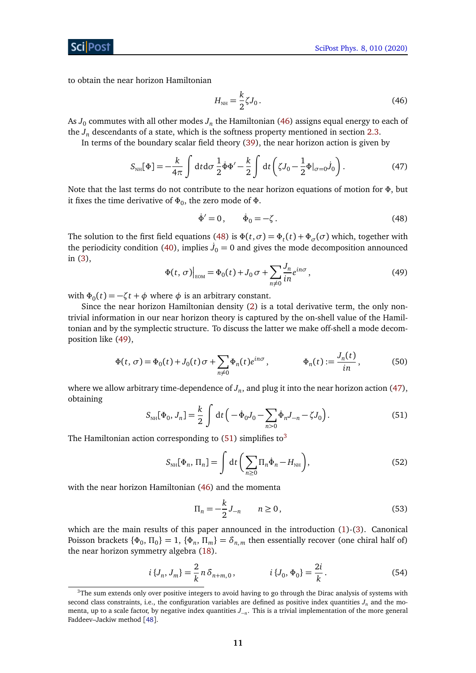to obtain the near horizon Hamiltonian

<span id="page-10-3"></span><span id="page-10-0"></span>
$$
H_{NH} = \frac{k}{2} \zeta J_0 \,. \tag{46}
$$

As  $J_0$  commutes with all other modes  $J_n$  the Hamiltonian [\(46\)](#page-10-0) assigns equal energy to each of the  $J_n$  descendants of a state, which is the softness property mentioned in section [2.3.](#page-4-1)

In terms of the boundary scalar field theory [\(39\)](#page-8-4), the near horizon action is given by

$$
S_{\text{NH}}[\Phi] = -\frac{k}{4\pi} \int dt d\sigma \frac{1}{2} \dot{\Phi} \Phi' - \frac{k}{2} \int dt \left( \zeta J_0 - \frac{1}{2} \Phi|_{\sigma=0} \dot{J}_0 \right). \tag{47}
$$

Note that the last terms do not contribute to the near horizon equations of motion for *Φ*, but it fixes the time derivative of *Φ*<sup>0</sup> , the zero mode of *Φ*.

<span id="page-10-1"></span>
$$
\dot{\Phi}' = 0, \qquad \dot{\Phi}_0 = -\zeta. \tag{48}
$$

<span id="page-10-2"></span>The solution to the first field equations [\(48\)](#page-10-1) is  $\Phi(t,\sigma) = \Phi_t(t) + \Phi_{\sigma}(\sigma)$  which, together with the periodicity condition [\(40\)](#page-9-3), implies  $\dot{J}_0 = 0$  and gives the mode decomposition announced in [\(3\)](#page-2-0),

$$
\Phi(t,\,\sigma)\Big|_{\text{EOM}} = \Phi_0(t) + J_0 \,\sigma + \sum_{n \neq 0} \frac{J_n}{in} e^{in\sigma},\tag{49}
$$

with  $\Phi_0(t) = -\zeta t + \phi$  where  $\phi$  is an arbitrary constant.

Since the near horizon Hamiltonian density [\(2\)](#page-2-1) is a total derivative term, the only nontrivial information in our near horizon theory is captured by the on-shell value of the Hamiltonian and by the symplectic structure. To discuss the latter we make off-shell a mode decomposition like [\(49\)](#page-10-2),

<span id="page-10-8"></span>
$$
\Phi(t,\sigma) = \Phi_0(t) + J_0(t)\sigma + \sum_{n \neq 0} \Phi_n(t)e^{in\sigma}, \qquad \Phi_n(t) := \frac{J_n(t)}{in}, \qquad (50)
$$

<span id="page-10-4"></span>where we allow arbitrary time-dependence of  $J_n$ , and plug it into the near horizon action [\(47\)](#page-10-3), obtaining

$$
S_{\text{NH}}[\Phi_0, J_n] = \frac{k}{2} \int dt \left( -\dot{\Phi}_0 J_0 - \sum_{n>0} \dot{\Phi}_n J_{-n} - \zeta J_0 \right). \tag{51}
$$

The Hamiltonian action corresponding to  $(51)$  simplifies to<sup>[3](#page-10-5)</sup>

$$
S_{\text{NH}}[\Phi_n, \Pi_n] = \int \mathrm{d}t \left( \sum_{n \ge 0} \Pi_n \dot{\Phi}_n - H_{\text{NH}} \right), \tag{52}
$$

with the near horizon Hamiltonian [\(46\)](#page-10-0) and the momenta

<span id="page-10-9"></span><span id="page-10-7"></span><span id="page-10-6"></span>
$$
\Pi_n = -\frac{k}{2} J_{-n} \qquad n \ge 0,
$$
\n(53)

which are the main results of this paper announced in the introduction  $(1)-(3)$  $(1)-(3)$  $(1)-(3)$ . Canonical Poisson brackets  $\{\Phi_0, \Pi_0\} = 1$ ,  $\{\Phi_n, \Pi_m\} = \delta_{n,m}$  then essentially recover (one chiral half of) the near horizon symmetry algebra [\(18\)](#page-5-1).

$$
i\left\{J_n, J_m\right\} = \frac{2}{k} n \,\delta_{n+m,0}, \qquad i\left\{J_0, \Phi_0\right\} = \frac{2i}{k}.
$$
 (54)

<span id="page-10-5"></span><sup>&</sup>lt;sup>3</sup>The sum extends only over positive integers to avoid having to go through the Dirac analysis of systems with second class constraints, i.e., the configuration variables are defined as positive index quantities  $J_n$  and the momenta, up to a scale factor, by negative index quantities *J*<sup>−</sup>*<sup>n</sup>* . This is a trivial implementation of the more general Faddeev–Jackiw method [[48](#page-26-13)].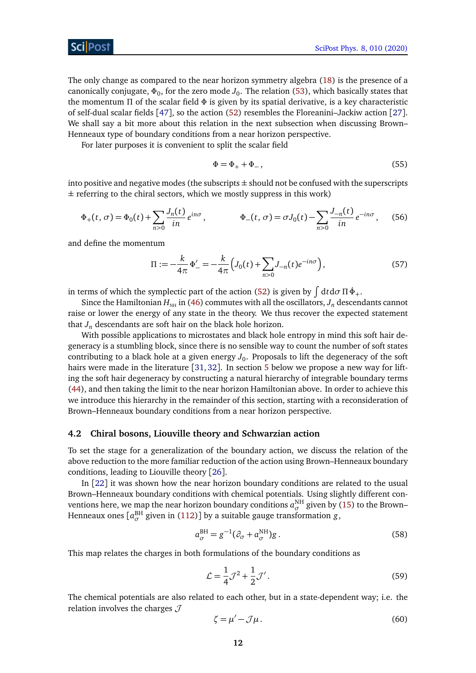The only change as compared to the near horizon symmetry algebra [\(18\)](#page-5-1) is the presence of a canonically conjugate,  $\Phi_0$ , for the zero mode  $J_0.$  The relation [\(53\)](#page-10-6), which basically states that the momentum *Π* of the scalar field *Φ* is given by its spatial derivative, is a key characteristic of self-dual scalar fields [[47](#page-26-14)], so the action [\(52\)](#page-10-7) resembles the Floreanini–Jackiw action [[27](#page-25-7)]. We shall say a bit more about this relation in the next subsection when discussing Brown– Henneaux type of boundary conditions from a near horizon perspective.

For later purposes it is convenient to split the scalar field

<span id="page-11-3"></span>
$$
\Phi = \Phi_+ + \Phi_-, \tag{55}
$$

into positive and negative modes (the subscripts  $\pm$  should not be confused with the superscripts  $\pm$  referring to the chiral sectors, which we mostly suppress in this work)

$$
\Phi_{+}(t,\sigma) = \Phi_{0}(t) + \sum_{n>0} \frac{J_{n}(t)}{in} e^{in\sigma}, \qquad \Phi_{-}(t,\sigma) = \sigma J_{0}(t) - \sum_{n>0} \frac{J_{-n}(t)}{in} e^{-in\sigma}, \quad (56)
$$

and define the momentum

<span id="page-11-4"></span>
$$
\Pi := -\frac{k}{4\pi} \Phi'_{-} = -\frac{k}{4\pi} \Big( J_0(t) + \sum_{n>0} J_{-n}(t) e^{-in\sigma} \Big),\tag{57}
$$

in terms of which the symplectic part of the action [\(52\)](#page-10-7) is given by  $\int dt d\sigma \Pi \dot{\Phi}_+.$ 

Since the Hamiltonian  $H_{NH}$  in [\(46\)](#page-10-0) commutes with all the oscillators,  $J_n$  descendants cannot raise or lower the energy of any state in the theory. We thus recover the expected statement that  $J_n$  descendants are soft hair on the black hole horizon.

With possible applications to microstates and black hole entropy in mind this soft hair degeneracy is a stumbling block, since there is no sensible way to count the number of soft states contributing to a black hole at a given energy  $J_0$ . Proposals to lift the degeneracy of the soft hairs were made in the literature [[31,](#page-25-11) [32](#page-25-12)]. In section [5](#page-16-0) below we propose a new way for lifting the soft hair degeneracy by constructing a natural hierarchy of integrable boundary terms [\(44\)](#page-9-4), and then taking the limit to the near horizon Hamiltonian above. In order to achieve this we introduce this hierarchy in the remainder of this section, starting with a reconsideration of Brown–Henneaux boundary conditions from a near horizon perspective.

#### <span id="page-11-0"></span>**4.2 Chiral bosons, Liouville theory and Schwarzian action**

To set the stage for a generalization of the boundary action, we discuss the relation of the above reduction to the more familiar reduction of the action using Brown–Henneaux boundary conditions, leading to Liouville theory [[26](#page-25-6)].

In [[22](#page-25-5)] it was shown how the near horizon boundary conditions are related to the usual Brown–Henneaux boundary conditions with chemical potentials. Using slightly different conventions here, we map the near horizon boundary conditions  $a_{\sigma}^{\text{NH}}$  given by [\(15\)](#page-4-4) to the Brown– Henneaux ones [ $a_{\sigma}^{\rm BH}$  given in [\(112\)](#page-21-1)] by a suitable gauge transformation  $g$ ,

$$
a_{\sigma}^{\text{BH}} = g^{-1}(\partial_{\sigma} + a_{\sigma}^{\text{NH}})g. \tag{58}
$$

This map relates the charges in both formulations of the boundary conditions as

<span id="page-11-1"></span>
$$
\mathcal{L} = \frac{1}{4}\mathcal{J}^2 + \frac{1}{2}\mathcal{J}'.
$$
\n(59)

The chemical potentials are also related to each other, but in a state-dependent way; i.e. the relation involves the charges  $J$ 

<span id="page-11-2"></span>
$$
\zeta = \mu' - \mathcal{J}\mu. \tag{60}
$$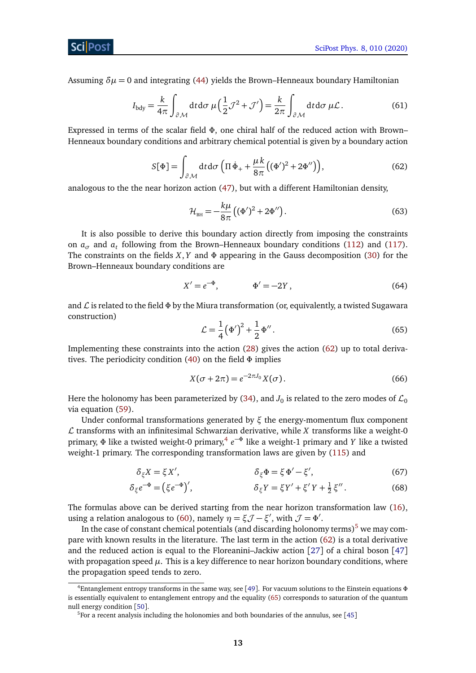Assuming  $\delta \mu = 0$  and integrating [\(44\)](#page-9-4) yields the Brown–Henneaux boundary Hamiltonian

$$
I_{\text{bdy}} = \frac{k}{4\pi} \int_{\partial \mathcal{M}} \text{d}t \text{d}\sigma \,\mu \left(\frac{1}{2}\mathcal{J}^2 + \mathcal{J}'\right) = \frac{k}{2\pi} \int_{\partial \mathcal{M}} \text{d}t \text{d}\sigma \,\mu \mathcal{L} \,.
$$
 (61)

<span id="page-12-0"></span>Expressed in terms of the scalar field *Φ*, one chiral half of the reduced action with Brown– Henneaux boundary conditions and arbitrary chemical potential is given by a boundary action

$$
S[\Phi] = \int_{\partial \mathcal{M}} dt d\sigma \left( \Pi \dot{\Phi}_+ + \frac{\mu k}{8\pi} \left( (\Phi')^2 + 2\Phi'' \right) \right),\tag{62}
$$

analogous to the the near horizon action [\(47\)](#page-10-3), but with a different Hamiltonian density,

<span id="page-12-5"></span>
$$
\mathcal{H}_{\text{BH}} = -\frac{k\mu}{8\pi} \left( (\Phi')^2 + 2\Phi'' \right).
$$
 (63)

It is also possible to derive this boundary action directly from imposing the constraints on  $a_{\sigma}$  and  $a_t$  following from the Brown–Henneaux boundary conditions [\(112\)](#page-21-1) and [\(117\)](#page-21-2). The constraints on the fields *X*, *Y* and *Φ* appearing in the Gauss decomposition [\(30\)](#page-8-5) for the Brown–Henneaux boundary conditions are

<span id="page-12-6"></span>
$$
X' = e^{-\Phi}, \qquad \Phi' = -2Y, \qquad (64)
$$

<span id="page-12-3"></span>and L is related to the field *Φ* by the Miura transformation (or, equivalently, a twisted Sugawara construction)

<span id="page-12-4"></span>
$$
\mathcal{L} = \frac{1}{4} (\Phi')^2 + \frac{1}{2} \Phi''.
$$
 (65)

Implementing these constraints into the action [\(28\)](#page-7-3) gives the action [\(62\)](#page-12-0) up to total derivatives. The periodicity condition [\(40\)](#page-9-3) on the field *Φ* implies

$$
X(\sigma + 2\pi) = e^{-2\pi J_0} X(\sigma).
$$
 (66)

Here the holonomy has been parameterized by [\(34\)](#page-8-6), and  $J_0$  is related to the zero modes of  $\mathcal{L}_0$ via equation [\(59\)](#page-11-1).

Under conformal transformations generated by *ξ* the energy-momentum flux component  $\mathcal L$  transforms with an infinitesimal Schwarzian derivative, while  $X$  transforms like a weight-0 primary, Φ like a twisted weight-0 primary,<sup>[4](#page-12-1)</sup> e<sup>-Φ</sup> like a weight-1 primary and *Y* like a twisted weight-1 primary. The corresponding transformation laws are given by [\(115\)](#page-21-3) and

$$
\delta_{\xi} X = \xi X', \qquad \delta_{\xi} \Phi = \xi \Phi' - \xi', \qquad (67)
$$

$$
\delta_{\xi} e^{-\Phi} = (\xi e^{-\Phi})', \qquad \delta_{\xi} Y = \xi Y' + \xi' Y + \frac{1}{2} \xi''.
$$
 (68)

The formulas above can be derived starting from the near horizon transformation law [\(16\)](#page-4-5), using a relation analogous to [\(60\)](#page-11-2), namely  $\eta = \xi \mathcal{J} - \xi'$ , with  $\mathcal{J} = \Phi'$ .

In the case of constant chemical potentials (and discarding holonomy terms)<sup>[5](#page-12-2)</sup> we may compare with known results in the literature. The last term in the action [\(62\)](#page-12-0) is a total derivative and the reduced action is equal to the Floreanini–Jackiw action [[27](#page-25-7)] of a chiral boson [[47](#page-26-14)] with propagation speed  $\mu$ . This is a key difference to near horizon boundary conditions, where the propagation speed tends to zero.

<span id="page-12-1"></span><sup>4</sup>Entanglement entropy transforms in the same way, see [[49](#page-27-0)]. For vacuum solutions to the Einstein equations *Φ* is essentially equivalent to entanglement entropy and the equality [\(65\)](#page-12-3) corresponds to saturation of the quantum null energy condition [[50](#page-27-1)].

<span id="page-12-2"></span> $5$ For a recent analysis including the holonomies and both boundaries of the annulus, see [[45](#page-26-12)]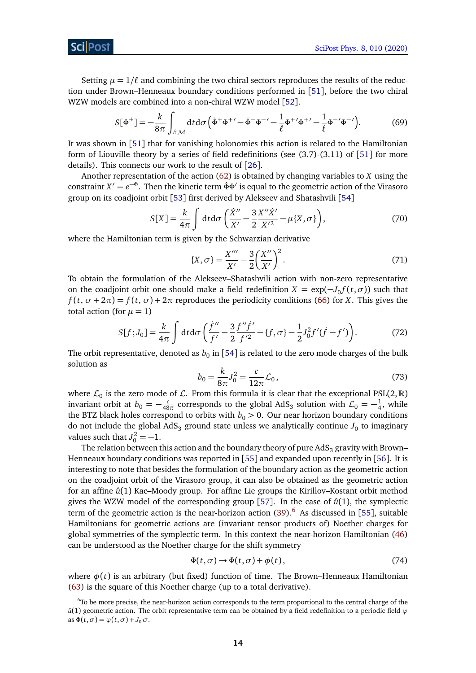Setting  $\mu = 1/\ell$  and combining the two chiral sectors reproduces the results of the reduction under Brown–Henneaux boundary conditions performed in [[51](#page-27-2)], before the two chiral WZW models are combined into a non-chiral WZW model [[52](#page-27-3)].

$$
S[\Phi^{\pm}] = -\frac{k}{8\pi} \int_{\partial \mathcal{M}} dt d\sigma \left( \dot{\Phi}^+ \Phi^{+/-} - \dot{\Phi}^- \Phi^{-/-} - \frac{1}{\ell} \Phi^{+/-} \Phi^{+/-} - \frac{1}{\ell} \Phi^{-/-} \Phi^{-/-} \right). \tag{69}
$$

It was shown in [[51](#page-27-2)] that for vanishing holonomies this action is related to the Hamiltonian form of Liouville theory by a series of field redefinitions (see (3.7)-(3.11) of [[51](#page-27-2)] for more details). This connects our work to the result of [[26](#page-25-6)].

Another representation of the action [\(62\)](#page-12-0) is obtained by changing variables to *X* using the constraint  $X' = e^{-\Phi}$ . Then the kinetic term  $\dot{\Phi} \Phi'$  is equal to the geometric action of the Virasoro group on its coadjoint orbit [[53](#page-27-4)] first derived by Alekseev and Shatashvili [[54](#page-27-5)]

$$
S[X] = \frac{k}{4\pi} \int dt d\sigma \left( \frac{\dot{X}''}{X'} - \frac{3}{2} \frac{X'' \dot{X}'}{X'^2} - \mu\{X, \sigma\} \right),\tag{70}
$$

where the Hamiltonian term is given by the Schwarzian derivative

$$
\{X,\sigma\} = \frac{X'''}{X'} - \frac{3}{2} \left(\frac{X''}{X'}\right)^2.
$$
 (71)

To obtain the formulation of the Alekseev–Shatashvili action with non-zero representative on the coadjoint orbit one should make a field redefinition  $X = \exp(-J_0 f(t, \sigma))$  such that  $f(t, \sigma + 2\pi) = f(t, \sigma) + 2\pi$  reproduces the periodicity conditions [\(66\)](#page-12-4) for *X*. This gives the total action (for  $\mu = 1$ )

$$
S[f;J_0] = \frac{k}{4\pi} \int dt d\sigma \left( \frac{\dot{f}''}{f'} - \frac{3}{2} \frac{f''\dot{f}'}{f'^2} - \{f,\sigma\} - \frac{1}{2} J_0^2 f'(\dot{f} - f') \right). \tag{72}
$$

The orbit representative, denoted as  $b_0$  in [[54](#page-27-5)] is related to the zero mode charges of the bulk solution as

$$
b_0 = \frac{k}{8\pi} J_0^2 = \frac{c}{12\pi} \mathcal{L}_0,
$$
\n(73)

where  $\mathcal{L}_0$  is the zero mode of  $\mathcal{L}$ . From this formula it is clear that the exceptional PSL(2, R) invariant orbit at  $b_0 = -\frac{c}{48}$  $\frac{c}{48\pi}$  corresponds to the global AdS<sub>3</sub> solution with  $\mathcal{L}_0 = -\frac{1}{4}$  $\frac{1}{4}$ , while the BTZ black holes correspond to orbits with  $b_0 > 0$ . Our near horizon boundary conditions do not include the global AdS $_3$  ground state unless we analytically continue  $J_{\rm 0}$  to imaginary values such that  $J_0^2 = -1$ .

The relation between this action and the boundary theory of pure  $AdS<sub>3</sub>$  gravity with Brown– Henneaux boundary conditions was reported in [[55](#page-27-6)] and expanded upon recently in [[56](#page-27-7)]. It is interesting to note that besides the formulation of the boundary action as the geometric action on the coadjoint orbit of the Virasoro group, it can also be obtained as the geometric action for an affine  $\hat{u}(1)$  Kac–Moody group. For affine Lie groups the Kirillov–Kostant orbit method gives the WZW model of the corresponding group [[57](#page-27-8)]. In the case of  $\hat{u}(1)$ , the symplectic term of the geometric action is the near-horizon action  $(39)$ .<sup>[6](#page-13-0)</sup> As discussed in [[55](#page-27-6)], suitable Hamiltonians for geometric actions are (invariant tensor products of) Noether charges for global symmetries of the symplectic term. In this context the near-horizon Hamiltonian [\(46\)](#page-10-0) can be understood as the Noether charge for the shift symmetry

<span id="page-13-1"></span>
$$
\Phi(t,\sigma) \to \Phi(t,\sigma) + \phi(t),\tag{74}
$$

where  $\phi(t)$  is an arbitrary (but fixed) function of time. The Brown–Henneaux Hamiltonian [\(63\)](#page-12-5) is the square of this Noether charge (up to a total derivative).

<span id="page-13-0"></span><sup>6</sup>To be more precise, the near-horizon action corresponds to the term proportional to the central charge of the  $\hat{u}(1)$  geometric action. The orbit representative term can be obtained by a field redefinition to a periodic field  $\varphi$ as  $\Phi(t, \sigma) = \varphi(t, \sigma) + J_0 \sigma$ .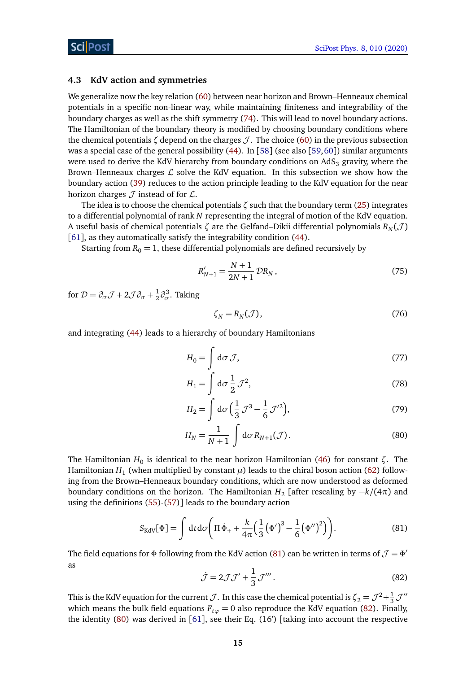### <span id="page-14-0"></span>**4.3 KdV action and symmetries**

We generalize now the key relation [\(60\)](#page-11-2) between near horizon and Brown–Henneaux chemical potentials in a specific non-linear way, while maintaining finiteness and integrability of the boundary charges as well as the shift symmetry [\(74\)](#page-13-1). This will lead to novel boundary actions. The Hamiltonian of the boundary theory is modified by choosing boundary conditions where the chemical potentials  $\zeta$  depend on the charges  $\mathcal{J}$ . The choice [\(60\)](#page-11-2) in the previous subsection was a special case of the general possibility [\(44\)](#page-9-4). In [[58](#page-27-9)] (see also [[59,](#page-27-10)[60](#page-27-11)]) similar arguments were used to derive the KdV hierarchy from boundary conditions on  $AdS<sub>3</sub>$  gravity, where the Brown–Henneaux charges  $\mathcal L$  solve the KdV equation. In this subsection we show how the boundary action [\(39\)](#page-8-4) reduces to the action principle leading to the KdV equation for the near horizon charges  $J$  instead of for  $L$ .

The idea is to choose the chemical potentials *ζ* such that the boundary term [\(25\)](#page-7-6) integrates to a differential polynomial of rank *N* representing the integral of motion of the KdV equation. A useful basis of chemical potentials  $\zeta$  are the Gelfand–Dikii differential polynomials  $R_N(\mathcal{J})$ [[61](#page-27-12)], as they automatically satisfy the integrability condition [\(44\)](#page-9-4).

Starting from  $R_0 = 1$ , these differential polynomials are defined recursively by

$$
R'_{N+1} = \frac{N+1}{2N+1} \mathcal{D}R_N, \qquad (75)
$$

for  $\mathcal{D} = \partial_{\sigma} \mathcal{J} + 2 \mathcal{J} \partial_{\sigma} + \frac{1}{2}$  $\frac{1}{2}\partial_{\sigma}^{3}$ . Taking

<span id="page-14-5"></span><span id="page-14-4"></span>
$$
\zeta_N = R_N(\mathcal{J}),\tag{76}
$$

and integrating [\(44\)](#page-9-4) leads to a hierarchy of boundary Hamiltonians

$$
H_0 = \int d\sigma \, \mathcal{J},\tag{77}
$$

$$
H_1 = \int d\sigma \frac{1}{2} \mathcal{J}^2,\tag{78}
$$

$$
H_2 = \int d\sigma \left(\frac{1}{3}\mathcal{J}^3 - \frac{1}{6}\mathcal{J}'^2\right),\tag{79}
$$

<span id="page-14-3"></span>
$$
H_N = \frac{1}{N+1} \int d\sigma R_{N+1}(\mathcal{J}).
$$
\n(80)

The Hamiltonian *H*<sup>0</sup> is identical to the near horizon Hamiltonian [\(46\)](#page-10-0) for constant *ζ*. The Hamiltonian  $H_1$  (when multiplied by constant  $\mu$ ) leads to the chiral boson action [\(62\)](#page-12-0) following from the Brown–Henneaux boundary conditions, which are now understood as deformed boundary conditions on the horizon. The Hamiltonian  $H_2$  [after rescaling by  $-k/(4\pi)$  and using the definitions [\(55\)](#page-11-3)-[\(57\)](#page-11-4)] leads to the boundary action

$$
S_{\text{KdV}}[\Phi] = \int dt d\sigma \left( \Pi \dot{\Phi}_+ + \frac{k}{4\pi} \Big(\frac{1}{3} \big(\Phi'\big)^3 - \frac{1}{6} \big(\Phi''\big)^2 \Big) \right). \tag{81}
$$

<span id="page-14-2"></span>The field equations for  $\Phi$  following from the KdV action [\(81\)](#page-14-1) can be written in terms of  $\mathcal{J} = \Phi'$ as

<span id="page-14-1"></span>
$$
\dot{\mathcal{J}} = 2\mathcal{J}\mathcal{J}' + \frac{1}{3}\mathcal{J}'''.
$$
\n(82)

This is the KdV equation for the current  $J.$  In this case the chemical potential is  $\zeta_2=\mathcal{J}^2+\frac{1}{3}\mathcal{J}''$ which means the bulk field equations  $F_{t\varphi} = 0$  also reproduce the KdV equation [\(82\)](#page-14-2). Finally, the identity [\(80\)](#page-14-3) was derived in [[61](#page-27-12)], see their Eq. (16') [taking into account the respective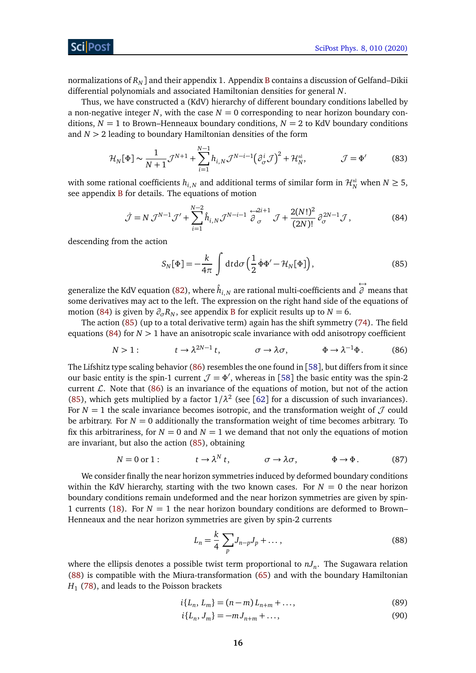normalizations of *R<sup>N</sup>* ] and their appendix 1. Appendix [B](#page-22-0) contains a discussion of Gelfand–Dikii differential polynomials and associated Hamiltonian densities for general *N*.

Thus, we have constructed a (KdV) hierarchy of different boundary conditions labelled by a non-negative integer *N*, with the case  $N = 0$  corresponding to near horizon boundary conditions,  $N = 1$  to Brown–Henneaux boundary conditions,  $N = 2$  to KdV boundary conditions and *N >* 2 leading to boundary Hamiltonian densities of the form

$$
\mathcal{H}_N[\Phi] \sim \frac{1}{N+1} \mathcal{J}^{N+1} + \sum_{i=1}^{N-1} h_{i,N} \mathcal{J}^{N-i-1} \left(\partial_{\sigma}^i \mathcal{J}\right)^2 + \mathcal{H}_N^{\text{nl}}, \qquad \qquad \mathcal{J} = \Phi' \tag{83}
$$

with some rational coefficients  $h_{i,N}$  and additional terms of similar form in  $\mathcal{H}_N^{\text{nl}}$  when  $N \geq 5$ , see appendix [B](#page-22-0) for details. The equations of motion

$$
\dot{\mathcal{J}} = N \mathcal{J}^{N-1} \mathcal{J}' + \sum_{i=1}^{N-2} \hat{h}_{i,N} \mathcal{J}^{N-i-1} \stackrel{\leftrightarrow}{\partial}_{\sigma}^{2i+1} \mathcal{J} + \frac{2(N!)^2}{(2N)!} \partial_{\sigma}^{2N-1} \mathcal{J},\tag{84}
$$

descending from the action

<span id="page-15-6"></span><span id="page-15-2"></span><span id="page-15-1"></span><span id="page-15-0"></span>
$$
S_N[\Phi] = -\frac{k}{4\pi} \int dt d\sigma \left(\frac{1}{2} \dot{\Phi} \Phi' - \mathcal{H}_N[\Phi]\right),\tag{85}
$$

generalize the KdV equation [\(82\)](#page-14-2), where  $\hat{h}_{i,N}$  are rational multi-coefficients and  $\stackrel{\longleftrightarrow}{\partial}$ *∂* means that some derivatives may act to the left. The expression on the right hand side of the equations of motion [\(84\)](#page-15-0) is given by  $\partial_{\sigma} R_N$ , see appendix [B](#page-22-0) for explicit results up to  $N = 6$ .

The action [\(85\)](#page-15-1) (up to a total derivative term) again has the shift symmetry [\(74\)](#page-13-1). The field equations [\(84\)](#page-15-0) for *N >* 1 have an anisotropic scale invariance with odd anisotropy coefficient

$$
N > 1: \t t \to \lambda^{2N-1} t, \t \sigma \to \lambda \sigma, \t \Phi \to \lambda^{-1} \Phi.
$$
 (86)

The Lifshitz type scaling behavior  $(86)$  resembles the one found in [[58](#page-27-9)], but differs from it since our basic entity is the spin-1 current  $\mathcal{J} = \Phi'$ , whereas in [[58](#page-27-9)] the basic entity was the spin-2 current  $\mathcal{L}$ . Note that [\(86\)](#page-15-2) is an invariance of the equations of motion, but not of the action [\(85\)](#page-15-1), which gets multiplied by a factor  $1/\lambda^2$  (see [[62](#page-27-13)] for a discussion of such invariances). For  $N = 1$  the scale invariance becomes isotropic, and the transformation weight of  $\mathcal J$  could be arbitrary. For  $N = 0$  additionally the transformation weight of time becomes arbitrary. To fix this arbitrariness, for  $N = 0$  and  $N = 1$  we demand that not only the equations of motion are invariant, but also the action [\(85\)](#page-15-1), obtaining

$$
N = 0 \text{ or } 1: \qquad t \to \lambda^N t, \qquad \sigma \to \lambda \sigma, \qquad \Phi \to \Phi. \tag{87}
$$

We consider finally the near horizon symmetries induced by deformed boundary conditions within the KdV hierarchy, starting with the two known cases. For  $N = 0$  the near horizon boundary conditions remain undeformed and the near horizon symmetries are given by spin-1 currents [\(18\)](#page-5-1). For  $N = 1$  the near horizon boundary conditions are deformed to Brown– Henneaux and the near horizon symmetries are given by spin-2 currents

<span id="page-15-7"></span><span id="page-15-4"></span><span id="page-15-3"></span>
$$
L_n = \frac{k}{4} \sum_p J_{n-p} J_p + \dots, \tag{88}
$$

where the ellipsis denotes a possible twist term proportional to *nJ<sup>n</sup>* . The Sugawara relation [\(88\)](#page-15-3) is compatible with the Miura-transformation [\(65\)](#page-12-3) and with the boundary Hamiltonian *H*1 [\(78\)](#page-14-4), and leads to the Poisson brackets

$$
i\{L_n, L_m\} = (n-m)L_{n+m} + \dots,\tag{89}
$$

<span id="page-15-5"></span>
$$
i\{L_n, J_m\} = -mJ_{n+m} + \dots,\tag{90}
$$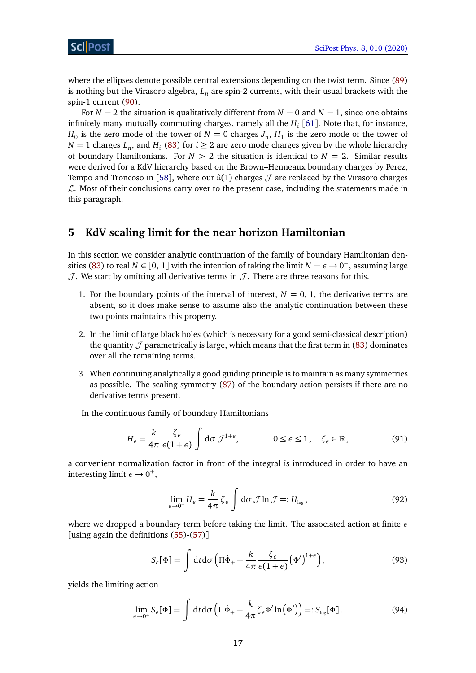where the ellipses denote possible central extensions depending on the twist term. Since [\(89\)](#page-15-4) is nothing but the Virasoro algebra, *L<sup>n</sup>* are spin-2 currents, with their usual brackets with the spin-1 current [\(90\)](#page-15-5).

For  $N = 2$  the situation is qualitatively different from  $N = 0$  and  $N = 1$ , since one obtains infinitely many mutually commuting charges, namely all the *H<sup>i</sup>* [[61](#page-27-12)]. Note that, for instance,  $H_0$  is the zero mode of the tower of  $N=0$  charges  $J_n$ ,  $H_1$  is the zero mode of the tower of *N* = 1 charges *L*<sub>*n*</sub>, and *H*<sub>*i*</sub> [\(83\)](#page-15-6) for *i*  $\geq$  2 are zero mode charges given by the whole hierarchy of boundary Hamiltonians. For  $N > 2$  the situation is identical to  $N = 2$ . Similar results were derived for a KdV hierarchy based on the Brown–Henneaux boundary charges by Perez, Tempo and Troncoso in [[58](#page-27-9)], where our  $\hat{u}(1)$  charges  $\mathcal J$  are replaced by the Virasoro charges  $\mathcal{L}$ . Most of their conclusions carry over to the present case, including the statements made in this paragraph.

# <span id="page-16-0"></span>**5 KdV scaling limit for the near horizon Hamiltonian**

In this section we consider analytic continuation of the family of boundary Hamiltonian den-sities [\(83\)](#page-15-6) to real  $N \in [0, 1]$  with the intention of taking the limit  $N = \epsilon \rightarrow 0^+$ , assuming large  $J$ . We start by omitting all derivative terms in  $J$ . There are three reasons for this.

- 1. For the boundary points of the interval of interest,  $N = 0, 1$ , the derivative terms are absent, so it does make sense to assume also the analytic continuation between these two points maintains this property.
- 2. In the limit of large black holes (which is necessary for a good semi-classical description) the quantity  $\mathcal J$  parametrically is large, which means that the first term in [\(83\)](#page-15-6) dominates over all the remaining terms.
- 3. When continuing analytically a good guiding principle is to maintain as many symmetries as possible. The scaling symmetry [\(87\)](#page-15-7) of the boundary action persists if there are no derivative terms present.

In the continuous family of boundary Hamiltonians

$$
H_{\epsilon} = \frac{k}{4\pi} \frac{\zeta_{\epsilon}}{\epsilon (1+\epsilon)} \int d\sigma \, \mathcal{J}^{1+\epsilon}, \qquad 0 \le \epsilon \le 1, \quad \zeta_{\epsilon} \in \mathbb{R}, \tag{91}
$$

a convenient normalization factor in front of the integral is introduced in order to have an interesting limit  $\epsilon \rightarrow 0^+,$ 

<span id="page-16-3"></span><span id="page-16-1"></span>
$$
\lim_{\epsilon \to 0^+} H_{\epsilon} = \frac{k}{4\pi} \zeta_{\epsilon} \int d\sigma \mathcal{J} \ln \mathcal{J} =: H_{\log},
$$
\n(92)

where we dropped a boundary term before taking the limit. The associated action at finite *ε* [using again the definitions [\(55\)](#page-11-3)-[\(57\)](#page-11-4)]

<span id="page-16-2"></span>
$$
S_{\epsilon}[\Phi] = \int dt d\sigma \left( \Pi \dot{\Phi}_{+} - \frac{k}{4\pi} \frac{\zeta_{\epsilon}}{\epsilon (1+\epsilon)} (\Phi')^{1+\epsilon} \right), \tag{93}
$$

yields the limiting action

$$
\lim_{\epsilon \to 0^+} S_{\epsilon}[\Phi] = \int dt d\sigma \left( \Pi \dot{\Phi}_+ - \frac{k}{4\pi} \zeta_{\epsilon} \Phi' \ln \left( \Phi' \right) \right) =: S_{\text{log}}[\Phi]. \tag{94}
$$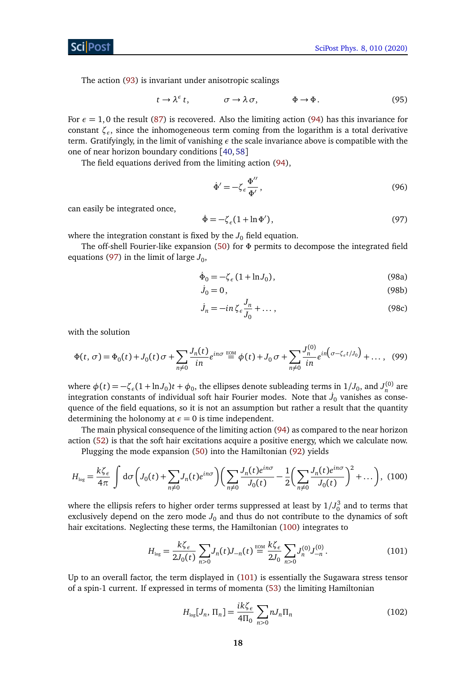The action [\(93\)](#page-16-1) is invariant under anisotropic scalings

$$
t \to \lambda^{\epsilon} t, \qquad \sigma \to \lambda \sigma, \qquad \Phi \to \Phi. \tag{95}
$$

For  $\epsilon = 1,0$  the result [\(87\)](#page-15-7) is recovered. Also the limiting action [\(94\)](#page-16-2) has this invariance for constant *ζ<sup>ε</sup>* , since the inhomogeneous term coming from the logarithm is a total derivative term. Gratifyingly, in the limit of vanishing *ε* the scale invariance above is compatible with the one of near horizon boundary conditions [[40,](#page-26-7)[58](#page-27-9)]

The field equations derived from the limiting action [\(94\)](#page-16-2),

$$
\dot{\Phi}' = -\zeta_e \frac{\Phi''}{\Phi'},\tag{96}
$$

can easily be integrated once,

<span id="page-17-0"></span>
$$
\dot{\Phi} = -\zeta_{\epsilon} (1 + \ln \Phi'),\tag{97}
$$

where the integration constant is fixed by the  $J_0$  field equation.

The off-shell Fourier-like expansion [\(50\)](#page-10-8) for *Φ* permits to decompose the integrated field equations [\(97\)](#page-17-0) in the limit of large  $J_0$ ,

<span id="page-17-3"></span>
$$
\dot{\Phi}_0 = -\zeta_{\epsilon} \left( 1 + \ln J_0 \right),\tag{98a}
$$

$$
\dot{J}_0 = 0, \tag{98b}
$$

<span id="page-17-1"></span>
$$
\dot{J}_n = -in\,\zeta \, \epsilon \frac{J_n}{J_0} + \dots \,,\tag{98c}
$$

with the solution

<span id="page-17-5"></span>
$$
\Phi(t,\,\sigma) = \Phi_0(t) + J_0(t)\,\sigma + \sum_{n \neq 0} \frac{J_n(t)}{in} e^{in\sigma} \stackrel{\text{EOM}}{=} \phi(t) + J_0\,\sigma + \sum_{n \neq 0} \frac{J_n^{(0)}}{in} e^{in\left(\sigma - \zeta_c\,t\,/J_0\right)} + \dots,\tag{99}
$$

where  $\phi(t) = -\zeta_e(1 + \ln J_0)t + \phi_0$ , the ellipses denote subleading terms in  $1/J_0$ , and  $J_n^{(0)}$  are integration constants of individual soft hair Fourier modes. Note that  $J_0$  vanishes as consequence of the field equations, so it is not an assumption but rather a result that the quantity determining the holonomy at  $\epsilon = 0$  is time independent.

The main physical consequence of the limiting action [\(94\)](#page-16-2) as compared to the near horizon action [\(52\)](#page-10-7) is that the soft hair excitations acquire a positive energy, which we calculate now.

Plugging the mode expansion [\(50\)](#page-10-8) into the Hamiltonian [\(92\)](#page-16-3) yields

$$
H_{\log} = \frac{k\zeta_{\epsilon}}{4\pi} \int d\sigma \left( J_0(t) + \sum_{n \neq 0} J_n(t) e^{in\sigma} \right) \left( \sum_{n \neq 0} \frac{J_n(t) e^{in\sigma}}{J_0(t)} - \frac{1}{2} \left( \sum_{n \neq 0} \frac{J_n(t) e^{in\sigma}}{J_0(t)} \right)^2 + \dots \right), \tag{100}
$$

where the ellipsis refers to higher order terms suppressed at least by  $1/J_0^3$  and to terms that exclusively depend on the zero mode  $J_0$  and thus do not contribute to the dynamics of soft hair excitations. Neglecting these terms, the Hamiltonian [\(100\)](#page-17-1) integrates to

$$
H_{\log} = \frac{k\zeta_{\epsilon}}{2J_0(t)} \sum_{n>0} J_n(t) J_{-n}(t) \stackrel{\text{EOM}}{=} \frac{k\zeta_{\epsilon}}{2J_0} \sum_{n>0} J_n^{(0)} J_{-n}^{(0)}.
$$
 (101)

Up to an overall factor, the term displayed in [\(101\)](#page-17-2) is essentially the Sugawara stress tensor of a spin-1 current. If expressed in terms of momenta [\(53\)](#page-10-6) the limiting Hamiltonian

<span id="page-17-4"></span><span id="page-17-2"></span>
$$
H_{\text{log}}[J_n, \Pi_n] = \frac{i k \zeta_{\epsilon}}{4 \Pi_0} \sum_{n>0} n J_n \Pi_n \tag{102}
$$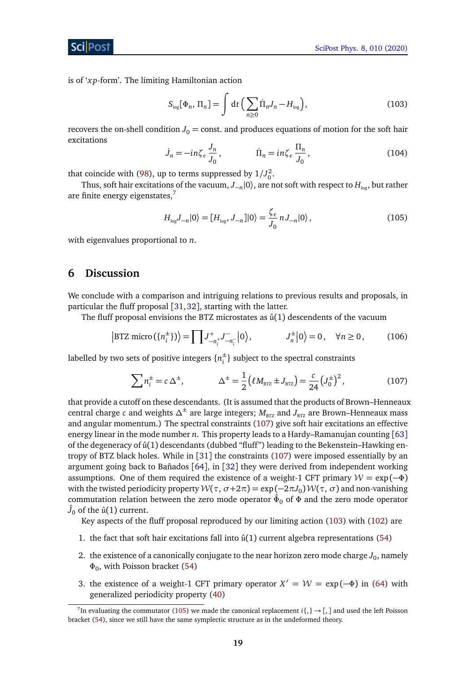ScilPos<sup>.</sup>

is of '*x p*-form'. The limiting Hamiltonian action

<span id="page-18-3"></span>
$$
S_{\text{log}}[\Phi_n, \Pi_n] = \int \mathrm{d}t \left( \sum_{n \ge 0} \dot{\Pi}_n J_n - H_{\text{log}} \right), \tag{103}
$$

recovers the on-shell condition  $J_0$  = const. and produces equations of motion for the soft hair excitations

$$
\dot{J}_n = -i n \zeta_\epsilon \frac{J_n}{J_0}, \qquad \qquad \dot{\Pi}_n = i n \zeta_\epsilon \frac{\Pi_n}{J_0}, \qquad (104)
$$

that coincide with [\(98\)](#page-17-3), up to terms suppressed by  $1/J_0^2$ .

Thus, soft hair excitations of the vacuum,  $J_{-n}|0\rangle$ , are not soft with respect to  $H_{\text{log}}$ , but rather are finite energy eigenstates,<sup>[7](#page-18-1)</sup>

<span id="page-18-5"></span><span id="page-18-4"></span>
$$
H_{\text{log}}J_{-n}|0\rangle = [H_{\text{log}}, J_{-n}]|0\rangle = \frac{\zeta_{\epsilon}}{J_0} n J_{-n}|0\rangle, \qquad (105)
$$

with eigenvalues proportional to *n*.

## <span id="page-18-0"></span>**6 Discussion**

We conclude with a comparison and intriguing relations to previous results and proposals, in particular the fluff proposal [[31,](#page-25-11)[32](#page-25-12)], starting with the latter.

The fluff proposal envisions the BTZ microstates as  $\hat{u}(1)$  descendents of the vacuum

$$
\left| \text{BTZ micro}\left( \{ n_i^{\pm} \} \right) \right\rangle = \prod J_{-n_i^+}^+ J_{-n_i^-}^- \left| 0 \right\rangle, \qquad J_n^{\pm} \left| 0 \right\rangle = 0, \quad \forall n \ge 0, \qquad (106)
$$

labelled by two sets of positive integers {*n* ±  $_i^{\pm}$ } subject to the spectral constraints

<span id="page-18-2"></span>
$$
\sum n_i^{\pm} = c \Delta^{\pm}, \qquad \Delta^{\pm} = \frac{1}{2} \left( \ell M_{\text{BTZ}} \pm J_{\text{BTZ}} \right) = \frac{c}{24} \left( J_0^{\pm} \right)^2, \tag{107}
$$

that provide a cutoff on these descendants. (It is assumed that the products of Brown–Henneaux central charge *c* and weights  $\Delta^{\pm}$  are large integers;  $M_{\text{BTZ}}$  and  $J_{\text{BTZ}}$  are Brown–Henneaux mass and angular momentum.) The spectral constraints [\(107\)](#page-18-2) give soft hair excitations an effective energy linear in the mode number *n*. This property leads to a Hardy–Ramanujan counting [[63](#page-27-14)] of the degeneracy of û(1) descendants (dubbed "fluff") leading to the Bekenstein-Hawking entropy of BTZ black holes. While in [[31](#page-25-11)] the constraints [\(107\)](#page-18-2) were imposed essentially by an argument going back to Bañados [[64](#page-27-15)], in [[32](#page-25-12)] they were derived from independent working assumptions. One of them required the existence of a weight-1 CFT primary  $W = \exp(-\Phi)$ with the twisted periodicity property  $W(\tau, \sigma+2\pi) = \exp(-2\pi J_0) W(\tau, \sigma)$  and non-vanishing commutation relation between the zero mode operator *Φ*ˆ <sup>0</sup> of *Φ* and the zero mode operator  $\hat{J}_0$  of the û(1) current.

Key aspects of the fluff proposal reproduced by our limiting action [\(103\)](#page-18-3) with [\(102\)](#page-17-4) are

- 1. the fact that soft hair excitations fall into  $\hat{u}(1)$  current algebra representations [\(54\)](#page-10-9)
- 2. the existence of a canonically conjugate to the near horizon zero mode charge  $J_0$ , namely *Φ*0 , with Poisson bracket [\(54\)](#page-10-9)
- 3. the existence of a weight-1 CFT primary operator  $X' = \mathcal{W} = \exp(-\Phi)$  in [\(64\)](#page-12-6) with generalized periodicity property [\(40\)](#page-9-3)

<span id="page-18-1"></span><sup>&</sup>lt;sup>7</sup>In evaluating the commutator [\(105\)](#page-18-4) we made the canonical replacement  $i\{\, \} \to [\, ,\,]$  and used the left Poisson bracket [\(54\)](#page-10-9), since we still have the same symplectic structure as in the undeformed theory.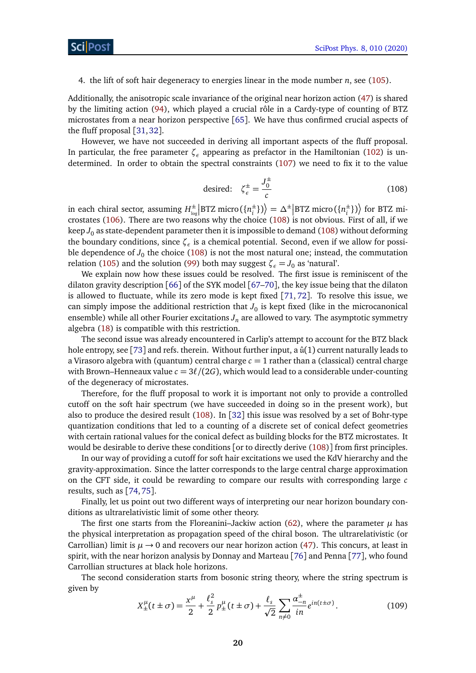4. the lift of soft hair degeneracy to energies linear in the mode number *n*, see [\(105\)](#page-18-4).

Additionally, the anisotropic scale invariance of the original near horizon action [\(47\)](#page-10-3) is shared by the limiting action [\(94\)](#page-16-2), which played a crucial rôle in a Cardy-type of counting of BTZ microstates from a near horizon perspective [[65](#page-28-0)]. We have thus confirmed crucial aspects of the fluff proposal [[31,](#page-25-11)[32](#page-25-12)].

<span id="page-19-0"></span>However, we have not succeeded in deriving all important aspects of the fluff proposal. In particular, the free parameter *ζ<sup>ε</sup>* appearing as prefactor in the Hamiltonian [\(102\)](#page-17-4) is undetermined. In order to obtain the spectral constraints [\(107\)](#page-18-2) we need to fix it to the value

desired: 
$$
\zeta_{\epsilon}^{\pm} = \frac{J_0^{\pm}}{c}
$$
 (108)

in each chiral sector, assuming  $H^{\pm}_{\text{loc}}$  $\frac{1}{\log}$ BTZ micro ({ $n_i^{\pm}$  $\langle i^{\pm} \rangle$ } $\rangle = \Delta^{\pm}$  BTZ micro ({*n*<sup> $\pm$ </sup><sub>*i*</sub>  $\binom{\pm}{i}$ ) $\left\{ \text{ for BTZ mi-} \right.$ crostates [\(106\)](#page-18-5). There are two reasons why the choice [\(108\)](#page-19-0) is not obvious. First of all, if we keep  $J_0$  as state-dependent parameter then it is impossible to demand [\(108\)](#page-19-0) without deforming the boundary conditions, since *ζ<sup>ε</sup>* is a chemical potential. Second, even if we allow for possible dependence of  $J_0$  the choice [\(108\)](#page-19-0) is not the most natural one; instead, the commutation relation [\(105\)](#page-18-4) and the solution [\(99\)](#page-17-5) both may suggest  $\zeta_e = J_0$  as 'natural'.

We explain now how these issues could be resolved. The first issue is reminiscent of the dilaton gravity description [[66](#page-28-1)] of the SYK model [[67–](#page-28-2)[70](#page-28-3)], the key issue being that the dilaton is allowed to fluctuate, while its zero mode is kept fixed [[71,](#page-28-4) [72](#page-28-5)]. To resolve this issue, we can simply impose the additional restriction that  $J_0$  is kept fixed (like in the microcanonical ensemble) while all other Fourier excitations  $J_n$  are allowed to vary. The asymptotic symmetry algebra [\(18\)](#page-5-1) is compatible with this restriction.

The second issue was already encountered in Carlip's attempt to account for the BTZ black hole entropy, see [[73](#page-28-6)] and refs. therein. Without further input, a  $\hat{u}(1)$  current naturally leads to a Virasoro algebra with (quantum) central charge  $c = 1$  rather than a (classical) central charge with Brown–Henneaux value  $c = 3\ell/(2G)$ , which would lead to a considerable under-counting of the degeneracy of microstates.

Therefore, for the fluff proposal to work it is important not only to provide a controlled cutoff on the soft hair spectrum (we have succeeded in doing so in the present work), but also to produce the desired result [\(108\)](#page-19-0). In [[32](#page-25-12)] this issue was resolved by a set of Bohr-type quantization conditions that led to a counting of a discrete set of conical defect geometries with certain rational values for the conical defect as building blocks for the BTZ microstates. It would be desirable to derive these conditions [or to directly derive [\(108\)](#page-19-0)] from first principles.

In our way of providing a cutoff for soft hair excitations we used the KdV hierarchy and the gravity-approximation. Since the latter corresponds to the large central charge approximation on the CFT side, it could be rewarding to compare our results with corresponding large *c* results, such as [[74,](#page-28-7)[75](#page-28-8)].

Finally, let us point out two different ways of interpreting our near horizon boundary conditions as ultrarelativistic limit of some other theory.

The first one starts from the Floreanini–Jackiw action  $(62)$ , where the parameter  $\mu$  has the physical interpretation as propagation speed of the chiral boson. The ultrarelativistic (or Carrollian) limit is  $\mu \rightarrow 0$  and recovers our near horizon action [\(47\)](#page-10-3). This concurs, at least in spirit, with the near horizon analysis by Donnay and Marteau [[76](#page-28-9)] and Penna [[77](#page-28-10)], who found Carrollian structures at black hole horizons.

<span id="page-19-1"></span>The second consideration starts from bosonic string theory, where the string spectrum is given by

$$
X_{\pm}^{\mu}(t \pm \sigma) = \frac{x^{\mu}}{2} + \frac{\ell_s^2}{2} p_{\pm}^{\mu}(t \pm \sigma) + \frac{\ell_s}{\sqrt{2}} \sum_{n \neq 0} \frac{\alpha_{-n}^{\pm}}{in} e^{in(t \pm \sigma)}.
$$
 (109)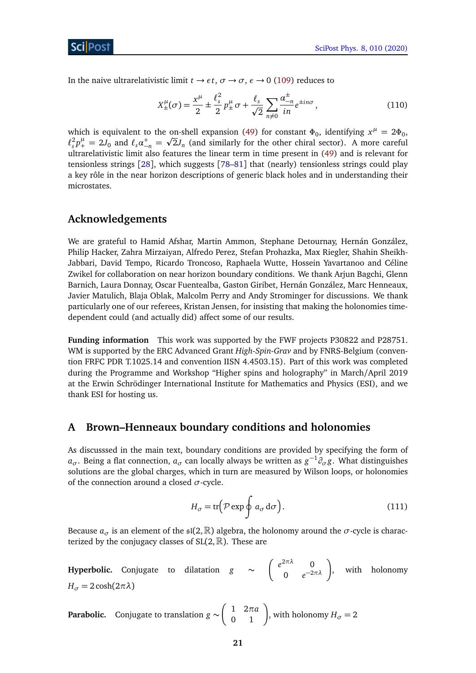In the naive ultrarelativistic limit  $t \to \epsilon t$ ,  $\sigma \to \sigma$ ,  $\epsilon \to 0$  [\(109\)](#page-19-1) reduces to

$$
X^{\mu}_{\pm}(\sigma) = \frac{x^{\mu}}{2} \pm \frac{\ell_s^2}{2} p^{\mu}_{\pm} \sigma + \frac{\ell_s}{\sqrt{2}} \sum_{n \neq 0} \frac{\alpha^{\pm}_{-n}}{in} e^{\pm in\sigma}, \qquad (110)
$$

which is equivalent to the on-shell expansion [\(49\)](#page-10-2) for constant  $\Phi_0$ , identifying  $x^{\mu} = 2\Phi_0$ ,  $\ell_s^2 p_+^\mu = 2 J_0$  and  $\ell_s \alpha_{-n}^+ = \sqrt{2} J_n$  (and similarly for the other chiral sector). A more careful ultrarelativistic limit also features the linear term in time present in [\(49\)](#page-10-2) and is relevant for tensionless strings [[28](#page-25-8)], which suggests [[78–](#page-28-11)[81](#page-28-12)] that (nearly) tensionless strings could play a key rôle in the near horizon descriptions of generic black holes and in understanding their microstates.

## **Acknowledgements**

We are grateful to Hamid Afshar, Martin Ammon, Stephane Detournay, Hernán González, Philip Hacker, Zahra Mirzaiyan, Alfredo Perez, Stefan Prohazka, Max Riegler, Shahin Sheikh-Jabbari, David Tempo, Ricardo Troncoso, Raphaela Wutte, Hossein Yavartanoo and Céline Zwikel for collaboration on near horizon boundary conditions. We thank Arjun Bagchi, Glenn Barnich, Laura Donnay, Oscar Fuentealba, Gaston Giribet, Hernán González, Marc Henneaux, Javier Matulich, Blaja Oblak, Malcolm Perry and Andy Strominger for discussions. We thank particularly one of our referees, Kristan Jensen, for insisting that making the holonomies timedependent could (and actually did) affect some of our results.

**Funding information** This work was supported by the FWF projects P30822 and P28751. WM is supported by the ERC Advanced Grant *High-Spin-Grav* and by FNRS-Belgium (convention FRFC PDR T.1025.14 and convention IISN 4.4503.15). Part of this work was completed during the Programme and Workshop "Higher spins and holography" in March/April 2019 at the Erwin Schrödinger International Institute for Mathematics and Physics (ESI), and we thank ESI for hosting us.

## <span id="page-20-0"></span>**A Brown–Henneaux boundary conditions and holonomies**

As discusssed in the main text, boundary conditions are provided by specifying the form of  $a_{\sigma}$ . Being a flat connection,  $a_{\sigma}$  can locally always be written as  $g^{-1}\partial_{\sigma}g$ . What distinguishes solutions are the global charges, which in turn are measured by Wilson loops, or holonomies of the connection around a closed *σ*-cycle.

<span id="page-20-1"></span>
$$
H_{\sigma} = \text{tr}\Big(\mathcal{P}\exp\oint a_{\sigma} d\sigma\Big). \tag{111}
$$

Because  $a_{\sigma}$  is an element of the  $\mathfrak{sl}(2,\mathbb{R})$  algebra, the holonomy around the  $\sigma$ -cycle is characterized by the conjugacy classes of  $SL(2,\mathbb{R})$ . These are

**Hyperbolic.** Conjugate to dilatation  $g \sim \begin{pmatrix} e^{2\pi\lambda} & 0 \\ 0 & -2 \end{pmatrix}$  $\begin{pmatrix} 2\pi\lambda & 0 \\ 0 & e^{-2\pi\lambda} \end{pmatrix}$ , with holonomy  $H_{\sigma} = 2 \cosh(2\pi\lambda)$ 

**Parabolic.** Conjugate to translation  $g \sim \begin{pmatrix} 1 & 2\pi a \ 0 & 1 \end{pmatrix}$ , with holonomy  $H_{\sigma} = 2$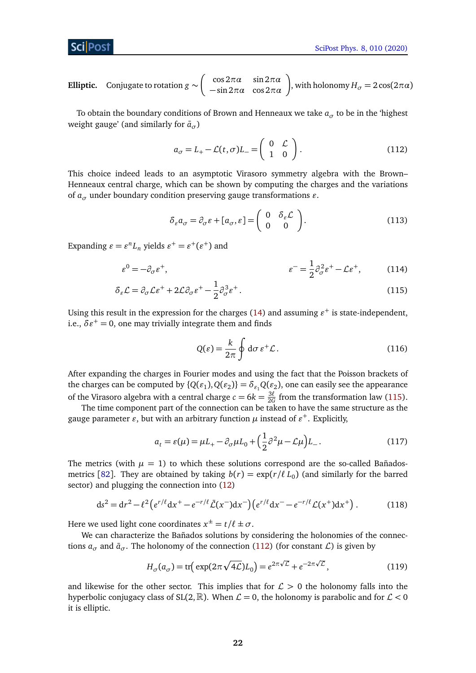**Elliptic.** Conjugate to rotation  $g \sim \begin{pmatrix} \cos 2\pi a & \sin 2\pi a \\ -\sin 2\pi a & \cos 2\pi a \end{pmatrix}$ , with holonomy  $H_{\sigma} = 2\cos(2\pi a)$ 

To obtain the boundary conditions of Brown and Henneaux we take  $a_{\sigma}$  to be in the 'highest weight gauge' (and similarly for  $\bar{a}$ <sub> $\sigma$ </sub>)

<span id="page-21-1"></span>
$$
a_{\sigma} = L_{+} - \mathcal{L}(t, \sigma) L_{-} = \begin{pmatrix} 0 & \mathcal{L} \\ 1 & 0 \end{pmatrix}.
$$
 (112)

This choice indeed leads to an asymptotic Virasoro symmetry algebra with the Brown– Henneaux central charge, which can be shown by computing the charges and the variations of  $a_{\sigma}$  under boundary condition preserving gauge transformations  $\varepsilon$ .

$$
\delta_{\varepsilon} a_{\sigma} = \partial_{\sigma} \varepsilon + [a_{\sigma}, \varepsilon] = \begin{pmatrix} 0 & \delta_{\varepsilon} \mathcal{L} \\ 0 & 0 \end{pmatrix}.
$$
 (113)

Expanding  $\varepsilon = \varepsilon^n L_n$  yields  $\varepsilon^+ = \varepsilon^+ (\varepsilon^+)$  and

$$
\varepsilon^0 = -\partial_\sigma \varepsilon^+, \qquad \qquad \varepsilon^- = \frac{1}{2} \partial_\sigma^2 \varepsilon^+ - \mathcal{L} \varepsilon^+, \qquad (114)
$$

$$
\delta_{\varepsilon} \mathcal{L} = \partial_{\sigma} \mathcal{L} \varepsilon^{+} + 2 \mathcal{L} \partial_{\sigma} \varepsilon^{+} - \frac{1}{2} \partial_{\sigma}^{3} \varepsilon^{+}.
$$
\n(115)

Using this result in the expression for the charges [\(14\)](#page-4-3) and assuming  $\varepsilon^+$  is state-independent, i.e.,  $\delta \varepsilon^+ = 0$ , one may trivially integrate them and finds

<span id="page-21-3"></span><span id="page-21-2"></span>
$$
Q(\varepsilon) = \frac{k}{2\pi} \oint \mathrm{d}\sigma \, \varepsilon^+ \mathcal{L} \,. \tag{116}
$$

After expanding the charges in Fourier modes and using the fact that the Poisson brackets of the charges can be computed by  $\{Q(\varepsilon_1), Q(\varepsilon_2)\} = \delta_{\varepsilon_1} Q(\varepsilon_2)$ , one can easily see the appearance of the Virasoro algebra with a central charge  $c = 6k = \frac{3\ell}{26}$  $\frac{3\ell}{2G}$  from the transformation law [\(115\)](#page-21-3).

The time component part of the connection can be taken to have the same structure as the gauge parameter  $\varepsilon$ , but with an arbitrary function  $\mu$  instead of  $\varepsilon^+$ . Explicitly,

<span id="page-21-0"></span>
$$
a_t = \varepsilon(\mu) = \mu L_+ - \partial_\sigma \mu L_0 + \left(\frac{1}{2}\partial^2 \mu - \mathcal{L}\mu\right) L_-\,. \tag{117}
$$

The metrics (with  $\mu = 1$ ) to which these solutions correspond are the so-called Bañados-metrics [[82](#page-29-0)]. They are obtained by taking  $b(r) = \exp(r/\ell L_0)$  (and similarly for the barred sector) and plugging the connection into [\(12\)](#page-3-4)

$$
ds^{2} = dr^{2} - \ell^{2} \left( e^{r/\ell} dx^{+} - e^{-r/\ell} \bar{\mathcal{L}}(x^{-}) dx^{-} \right) \left( e^{r/\ell} dx^{-} - e^{-r/\ell} \mathcal{L}(x^{+}) dx^{+} \right). \tag{118}
$$

Here we used light cone coordinates  $x^{\pm} = t/\ell \pm \sigma$ .

We can characterize the Bañados solutions by considering the holonomies of the connections  $a_{\sigma}$  and  $\bar{a}_{\sigma}$ . The holonomy of the connection [\(112\)](#page-21-1) (for constant L) is given by

$$
H_{\sigma}(a_{\sigma}) = \text{tr}\left(\exp(2\pi\sqrt{4\mathcal{L}})L_0\right) = e^{2\pi\sqrt{\mathcal{L}}} + e^{-2\pi\sqrt{\mathcal{L}}},\qquad(119)
$$

and likewise for the other sector. This implies that for  $\mathcal{L} > 0$  the holonomy falls into the hyperbolic conjugacy class of SL(2,  $\mathbb{R}$ ). When  $\mathcal{L} = 0$ , the holonomy is parabolic and for  $\mathcal{L} < 0$ it is elliptic.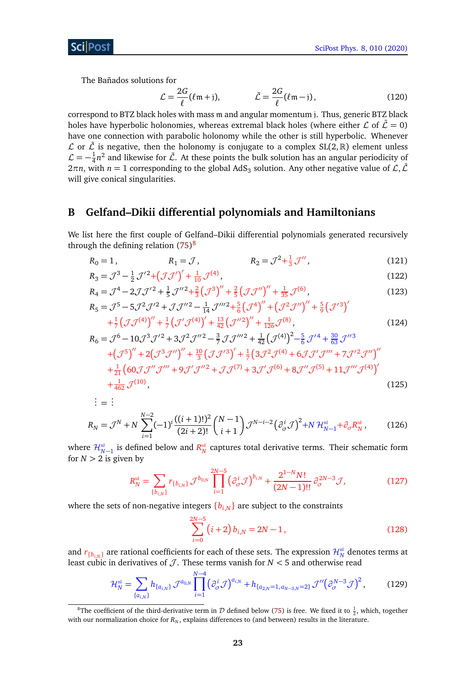The Bañados solutions for

<span id="page-22-3"></span>
$$
\mathcal{L} = \frac{2G}{\ell} (\ell \mathfrak{m} + \mathfrak{j}), \qquad \qquad \bar{\mathcal{L}} = \frac{2G}{\ell} (\ell \mathfrak{m} - \mathfrak{j}), \qquad (120)
$$

correspond to BTZ black holes with mass m and angular momentum j. Thus, generic BTZ black holes have hyperbolic holonomies, whereas extremal black holes (where either  $\mathcal{L}$  of  $\bar{\mathcal{L}} = 0$ ) have one connection with parabolic holonomy while the other is still hyperbolic. Whenever  $\mathcal L$  or  $\bar{\mathcal L}$  is negative, then the holonomy is conjugate to a complex SL(2, R) element unless  $\mathcal{L}=-\frac{1}{4}$  $\frac{1}{4}n^2$  and likewise for  $\bar{\mathcal{L}}$ . At these points the bulk solution has an angular periodicity of  $2\pi n$ , with  $n=1$  corresponding to the global AdS<sub>3</sub> solution. Any other negative value of  $\mathcal{L}, \bar{\mathcal{L}}$ will give conical singularities.

## <span id="page-22-0"></span>**B Gelfand–Dikii differential polynomials and Hamiltonians**

We list here the first couple of Gelfand–Dikii differential polynomials generated recursively through the defining relation  $(75)^8$  $(75)^8$  $(75)^8$ 

$$
R_0 = 1,
$$
  $R_1 = \mathcal{J},$   $R_2 = \mathcal{J}^2 + \frac{1}{3} \mathcal{J}'',$  (121)

$$
R_3 = \mathcal{J}^3 - \frac{1}{2} \mathcal{J}'^2 + \left(\mathcal{J}\mathcal{J}'\right)' + \frac{1}{10} \mathcal{J}^{(4)},
$$
\n
$$
R_4 = \mathcal{J}^4 - 2\mathcal{J}\mathcal{J}'^2 + \frac{1}{5} \mathcal{J}''^2 + \frac{2}{3} \left(\mathcal{J}^3\right)'' + \frac{2}{5} \left(\mathcal{J}\mathcal{J}''\right)'' + \frac{1}{35} \mathcal{J}^{(6)},
$$
\n(123)

$$
R_4 = \mathcal{J}^4 - 2\mathcal{J}\mathcal{J}'^2 + \frac{1}{5}\mathcal{J}''^2 + \frac{2}{3}\left(\mathcal{J}^3\right)'' + \frac{2}{5}\left(\mathcal{J}\mathcal{J}''\right)'' + \frac{1}{35}\mathcal{J}^{(6)},
$$
\n
$$
R_5 = \mathcal{J}^5 - 5\mathcal{J}^2\mathcal{J}'^2 + \mathcal{J}\mathcal{J}''^2 - \frac{1}{14}\mathcal{J}'''^2 + \frac{5}{6}\left(\mathcal{J}^4\right)'' + \left(\mathcal{J}^2\mathcal{J}''\right)'' + \frac{5}{9}\left(\mathcal{J}'^3\right)'
$$
\n(123)

$$
+\frac{1}{7} \left(\mathcal{J}\mathcal{J}^{(4)}\right)'' + \frac{1}{7} \left(\mathcal{J}'\mathcal{J}^{(4)}\right)' + \frac{13}{42} \left(\mathcal{J}''^{2}\right)'' + \frac{1}{126} \mathcal{J}^{(8)},
$$
(124)

$$
R_6 = \mathcal{J}^6 - 10\mathcal{J}^3 \mathcal{J}'^2 + 3\mathcal{J}^2 \mathcal{J}''^2 - \frac{3}{7} \mathcal{J} \mathcal{J}'''^2 + \frac{1}{42} \left( \mathcal{J}^{(4)} \right)^2 - \frac{5}{6} \mathcal{J}'^4 + \frac{30}{63} \mathcal{J}''^3
$$
  
 
$$
+ \left( \mathcal{J}^5 \right)'' + 2 \left( \mathcal{J}^3 \mathcal{J}'' \right)'' + \frac{10}{3} \left( \mathcal{J} \mathcal{J}'^3 \right)' + \frac{1}{7} \left( 3\mathcal{J}^2 \mathcal{J}^{(4)} + 6\mathcal{J} \mathcal{J}' \mathcal{J}''' + 7\mathcal{J}'^2 \mathcal{J}'' \right)''
$$
  
 
$$
+ \frac{1}{21} \left( 60 \mathcal{J} \mathcal{J}'' \mathcal{J}''' + 9 \mathcal{J}' \mathcal{J}''^2 + \mathcal{J} \mathcal{J}^{(7)} + 3\mathcal{J}' \mathcal{J}^{(6)} + 8\mathcal{J}'' \mathcal{J}^{(5)} + 11\mathcal{J}''' \mathcal{J}^{(4)} \right)'
$$
  
 
$$
+ \frac{1}{462} \mathcal{J}^{(10)},
$$
 (125)

$$
\begin{aligned}\n\vdots &= \mathbb{I} \\
R_N &= \mathcal{J}^N + N \sum_{i=1}^{N-2} (-1)^i \frac{((i+1)!)^2}{(2i+2)!} \binom{N-1}{i+1} \mathcal{J}^{N-i-2} \left(\partial_{\sigma}^i \mathcal{J}\right)^2 + N \mathcal{H}_{N-1}^{\text{nl}} + \partial_{\sigma} R_N^{\text{td}},\n\end{aligned} \tag{126}
$$

where  $\mathcal{H}^\text{nl}_{N-1}$  is defined below and  $R^\text{td}_N$  captures total derivative terms. Their schematic form for  $N > 2$  is given by

$$
R_N^{\rm td} = \sum_{\{b_{i,N}\}} r_{\{b_{i,N}\}} \mathcal{J}^{b_{0,N}} \prod_{i=1}^{2N-5} \left(\partial_{\sigma}^i \mathcal{J}\right)^{b_{i,N}} + \frac{2^{1-N}N!}{(2N-1)!!} \partial_{\sigma}^{2N-3} \mathcal{J},\tag{127}
$$

where the sets of non-negative integers  ${b_{i,N}}$  are subject to the constraints

<span id="page-22-2"></span>
$$
\sum_{i=0}^{2N-5} (i+2) b_{i,N} = 2N - 1, \qquad (128)
$$

and  $r_{\{b_{i,N}\}}$  are rational coefficients for each of these sets. The expression  $\mathcal{H}_N^{\tt nl}$  denotes terms at least cubic in derivatives of  $J$ . These terms vanish for  $N < 5$  and otherwise read

$$
\mathcal{H}_N^{\rm nl} = \sum_{\{a_{i,N}\}} h_{\{a_{i,N}\}} \mathcal{J}^{a_{0,N}} \prod_{i=1}^{N-4} \left(\partial_{\sigma}^i \mathcal{J}\right)^{a_{i,N}} + h_{\{a_{2,N}=1, a_{N-3,N}=2\}} \mathcal{J}'' \left(\partial_{\sigma}^{N-3} \mathcal{J}\right)^2, \tag{129}
$$

<span id="page-22-1"></span><sup>&</sup>lt;sup>8</sup>The coefficient of the third-derivative term in  $D$  defined below [\(75\)](#page-14-5) is free. We fixed it to  $\frac{1}{2}$ , which, together with our normalization choice for  $R_N$ , explains differences to (and between) results in the literature.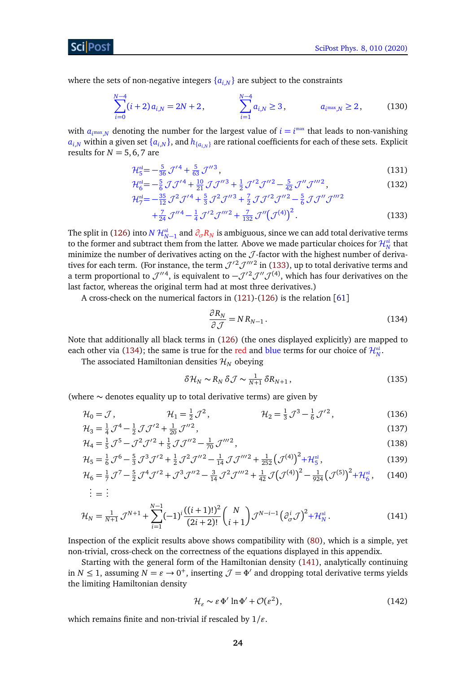where the sets of non-negative integers  $\{a_{i,N}\}$  are subject to the constraints

$$
\sum_{i=0}^{N-4} (i+2) a_{i,N} = 2N+2, \qquad \sum_{i=1}^{N-4} a_{i,N} \ge 3, \qquad a_{i^{\max},N} \ge 2, \qquad (130)
$$

with  $a_{i^{max},N}$  denoting the number for the largest value of  $i = i^{max}$  that leads to non-vanishing  $a_{i,N}$  within a given set  $\{a_{i,N}\}$ , and  $h_{\{a_{i,N}\}}$  are rational coefficients for each of these sets. Explicit results for  $N = 5, 6, 7$  are

$$
\mathcal{H}_5^{\rm nl} = -\frac{5}{36} \mathcal{J}'^4 + \frac{5}{63} \mathcal{J}''^3,
$$
\n(131)

$$
\mathcal{H}_6^{\text{nl}} = -\frac{5}{6} \mathcal{J} \mathcal{J}'^4 + \frac{10}{21} \mathcal{J} \mathcal{J}''^3 + \frac{1}{2} \mathcal{J}'^2 \mathcal{J}''^2 - \frac{5}{42} \mathcal{J}'' \mathcal{J}'''^2,
$$
(132)

$$
\mathcal{H}_{7}^{\text{nl}} = -\frac{35}{12} \mathcal{J}^{2} \mathcal{J}'^{4} + \frac{5}{3} \mathcal{J}^{2} \mathcal{J}''^{3} + \frac{7}{2} \mathcal{J} \mathcal{J}'^{2} \mathcal{J}''^{2} - \frac{5}{6} \mathcal{J} \mathcal{J}'' \mathcal{J}'''^{2} + \frac{7}{24} \mathcal{J}''^{4} - \frac{1}{4} \mathcal{J}'^{2} \mathcal{J}'''^{2} + \frac{7}{132} \mathcal{J}'' \left( \mathcal{J}^{(4)} \right)^{2}.
$$
 (133)

The split in [\(126\)](#page-22-2) into *N*  $\mathcal{H}_{N-1}^{\mathfrak{n}}$  and  $\partial_{\sigma}R_N$  is ambiguous, since we can add total derivative terms to the former and subtract them from the latter. Above we made particular choices for  $\mathcal{H}_N^{\tt ml}$  that minimize the number of derivatives acting on the  $J$ -factor with the highest number of derivatives for each term. (For instance, the term  $\mathcal{J}'^2 \mathcal{J}'''^2$  in [\(133\)](#page-23-1), up to total derivative terms and a term proportional to  $\mathcal{J}''^4$ , is equivalent to  $-\mathcal{J}'^2 \mathcal{J}'' \mathcal{J}^{(4)}$ , which has four derivatives on the last factor, whereas the original term had at most three derivatives.)

A cross-check on the numerical factors in [\(121\)](#page-22-3)-[\(126\)](#page-22-2) is the relation [[61](#page-27-12)]

<span id="page-23-2"></span><span id="page-23-1"></span>
$$
\frac{\partial R_N}{\partial \mathcal{J}} = N R_{N-1} \,. \tag{134}
$$

Note that additionally all black terms in [\(126\)](#page-22-2) (the ones displayed explicitly) are mapped to each other via [\(134\)](#page-23-2); the same is true for the red and <mark>blue</mark> terms for our choice of  $\mathcal{H}_N^{\mathfrak{n}!}$ .

The associated Hamiltonian densities  $\mathcal{H}_N$  obeying

$$
\delta \mathcal{H}_N \sim R_N \, \delta \mathcal{J} \sim \frac{1}{N+1} \, \delta R_{N+1} \,, \tag{135}
$$

(where ∼ denotes equality up to total derivative terms) are given by

$$
\mathcal{H}_0 = \mathcal{J}, \qquad \qquad \mathcal{H}_1 = \frac{1}{2}\mathcal{J}^2, \qquad \qquad \mathcal{H}_2 = \frac{1}{3}\mathcal{J}^3 - \frac{1}{6}\mathcal{J}'^2, \qquad (136)
$$

$$
\mathcal{H}_3 = \frac{1}{4} \mathcal{J}^4 - \frac{1}{2} \mathcal{J} \mathcal{J}'^2 + \frac{1}{20} \mathcal{J}''^2,
$$
  
\n
$$
\mathcal{H}_4 = \frac{1}{5} \mathcal{J}^5 - \mathcal{J}^2 \mathcal{J}'^2 + \frac{1}{5} \mathcal{J} \mathcal{J}''^2 - \frac{1}{70} \mathcal{J}'''^2,
$$
\n(138)

$$
\mathcal{H}_5 = \frac{1}{6} \mathcal{J}^6 - \frac{5}{3} \mathcal{J}^3 \mathcal{J}'^2 + \frac{1}{2} \mathcal{J}^2 \mathcal{J}''^2 - \frac{1}{14} \mathcal{J} \mathcal{J}'''^2 + \frac{1}{252} (\mathcal{J}^{(4)})^2 + \mathcal{H}_5^{nl},
$$
(139)

$$
\mathcal{H}_6 = \frac{1}{7} \mathcal{J}^7 - \frac{5}{2} \mathcal{J}^4 \mathcal{J}'^2 + \mathcal{J}^3 \mathcal{J}''^2 - \frac{3}{14} \mathcal{J}^2 \mathcal{J}'''^2 + \frac{1}{42} \mathcal{J} \big( \mathcal{J}^{(4)} \big)^2 - \frac{1}{924} \big( \mathcal{J}^{(5)} \big)^2 + \mathcal{H}_6^{\text{nl}}, \tag{140}
$$

$$
\dot{H} = \dot{H} \dot{H} + \dot{H} \dot{H} \dot{H}
$$

$$
\mathcal{H}_N = \frac{1}{N+1} \mathcal{J}^{N+1} + \sum_{i=1}^{N-1} (-1)^i \frac{((i+1)!)^2}{(2i+2)!} {N \choose i+1} \mathcal{J}^{N-i-1} \left(\partial_{\sigma}^i \mathcal{J}\right)^2 + \mathcal{H}_N^{\text{nl}}.
$$
\n(141)

Inspection of the explicit results above shows compatibility with [\(80\)](#page-14-3), which is a simple, yet non-trivial, cross-check on the correctness of the equations displayed in this appendix.

Starting with the general form of the Hamiltonian density [\(141\)](#page-23-3), analytically continuing in *N*  $\leq$  1, assuming  $N = \varepsilon \to 0^+$ , inserting  $\mathcal{J} = \Phi'$  and dropping total derivative terms yields the limiting Hamiltonian density

<span id="page-23-3"></span><span id="page-23-0"></span>
$$
\mathcal{H}_{\varepsilon} \sim \varepsilon \, \Phi' \ln \Phi' + \mathcal{O}(\varepsilon^2),\tag{142}
$$

which remains finite and non-trivial if rescaled by  $1/\varepsilon$ .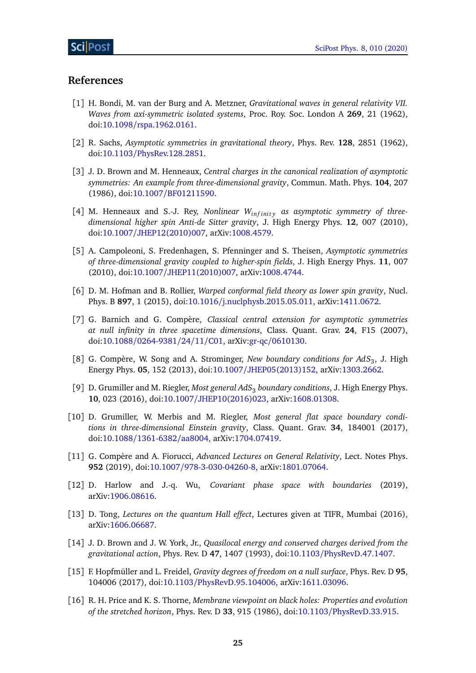## **References**

- <span id="page-24-0"></span>[1] H. Bondi, M. van der Burg and A. Metzner, *Gravitational waves in general relativity VII. Waves from axi-symmetric isolated systems*, Proc. Roy. Soc. London A **269**, 21 (1962), doi:10.1098/[rspa.1962.0161.](http://dx.doi.org/10.1098/rspa.1962.0161)
- <span id="page-24-1"></span>[2] R. Sachs, *Asymptotic symmetries in gravitational theory*, Phys. Rev. **128**, 2851 (1962), doi:10.1103/[PhysRev.128.2851.](http://dx.doi.org/10.1103/PhysRev.128.2851)
- <span id="page-24-2"></span>[3] J. D. Brown and M. Henneaux, *Central charges in the canonical realization of asymptotic symmetries: An example from three-dimensional gravity*, Commun. Math. Phys. **104**, 207 (1986), doi:10.1007/[BF01211590.](http://dx.doi.org/10.1007/BF01211590)
- <span id="page-24-3"></span>[4] M. Henneaux and S.-J. Rey, *Nonlinear W*<sub>infinity</sub> as asymptotic symmetry of three*dimensional higher spin Anti-de Sitter gravity*, J. High Energy Phys. **12**, 007 (2010), doi:10.1007/[JHEP12\(2010\)007,](http://dx.doi.org/10.1007/JHEP12(2010)007) arXiv[:1008.4579.](https://arxiv.org/abs/1008.4579)
- <span id="page-24-4"></span>[5] A. Campoleoni, S. Fredenhagen, S. Pfenninger and S. Theisen, *Asymptotic symmetries of three-dimensional gravity coupled to higher-spin fields*, J. High Energy Phys. **11**, 007 (2010), doi:10.1007/[JHEP11\(2010\)007,](http://dx.doi.org/10.1007/JHEP11(2010)007) arXiv[:1008.4744.](https://arxiv.org/abs/1008.4744)
- <span id="page-24-5"></span>[6] D. M. Hofman and B. Rollier, *Warped conformal field theory as lower spin gravity*, Nucl. Phys. B **897**, 1 (2015), doi:10.1016/[j.nuclphysb.2015.05.011,](http://dx.doi.org/10.1016/j.nuclphysb.2015.05.011) arXiv[:1411.0672.](https://arxiv.org/abs/1411.0672)
- <span id="page-24-6"></span>[7] G. Barnich and G. Compère, *Classical central extension for asymptotic symmetries at null infinity in three spacetime dimensions*, Class. Quant. Grav. **24**, F15 (2007), doi:10.1088/[0264-9381](http://dx.doi.org/10.1088/0264-9381/24/11/C01)/24/11/C01, arXiv:gr-qc/[0610130.](https://arxiv.org/abs/gr-qc/0610130)
- [8] G. Compère, W. Song and A. Strominger, *New boundary conditions for AdS*<sup>3</sup> , J. High Energy Phys. **05**, 152 (2013), doi:10.1007/[JHEP05\(2013\)152,](http://dx.doi.org/10.1007/JHEP05(2013)152) arXiv[:1303.2662.](https://arxiv.org/abs/1303.2662)
- [9] D. Grumiller and M. Riegler, *Most general AdS*<sup>3</sup> *boundary conditions*, J. High Energy Phys. **10**, 023 (2016), doi:10.1007/[JHEP10\(2016\)023,](http://dx.doi.org/10.1007/JHEP10(2016)023) arXiv[:1608.01308.](https://arxiv.org/abs/1608.01308)
- <span id="page-24-7"></span>[10] D. Grumiller, W. Merbis and M. Riegler, *Most general flat space boundary conditions in three-dimensional Einstein gravity*, Class. Quant. Grav. **34**, 184001 (2017), doi:10.1088/[1361-6382](http://dx.doi.org/10.1088/1361-6382/aa8004)/aa8004, arXiv[:1704.07419.](https://arxiv.org/abs/1704.07419)
- <span id="page-24-8"></span>[11] G. Compère and A. Fiorucci, *Advanced Lectures on General Relativity*, Lect. Notes Phys. **952** (2019), doi:10.1007/[978-3-030-04260-8,](http://dx.doi.org/10.1007/978-3-030-04260-8) arXiv[:1801.07064.](https://arxiv.org/abs/1801.07064)
- <span id="page-24-9"></span>[12] D. Harlow and J.-q. Wu, *Covariant phase space with boundaries* (2019), arXiv[:1906.08616.](https://arxiv.org/abs/1906.08616)
- <span id="page-24-10"></span>[13] D. Tong, *Lectures on the quantum Hall effect*, Lectures given at TIFR, Mumbai (2016), arXiv[:1606.06687.](https://arxiv.org/abs/1606.06687)
- <span id="page-24-11"></span>[14] J. D. Brown and J. W. York, Jr., *Quasilocal energy and conserved charges derived from the gravitational action*, Phys. Rev. D **47**, 1407 (1993), doi:10.1103/[PhysRevD.47.1407.](http://dx.doi.org/10.1103/PhysRevD.47.1407)
- <span id="page-24-12"></span>[15] F. Hopfmüller and L. Freidel, *Gravity degrees of freedom on a null surface*, Phys. Rev. D **95**, 104006 (2017), doi:10.1103/[PhysRevD.95.104006,](http://dx.doi.org/10.1103/PhysRevD.95.104006) arXiv[:1611.03096.](https://arxiv.org/abs/1611.03096)
- <span id="page-24-13"></span>[16] R. H. Price and K. S. Thorne, *Membrane viewpoint on black holes: Properties and evolution of the stretched horizon*, Phys. Rev. D **33**, 915 (1986), doi:10.1103/[PhysRevD.33.915.](http://dx.doi.org/10.1103/PhysRevD.33.915)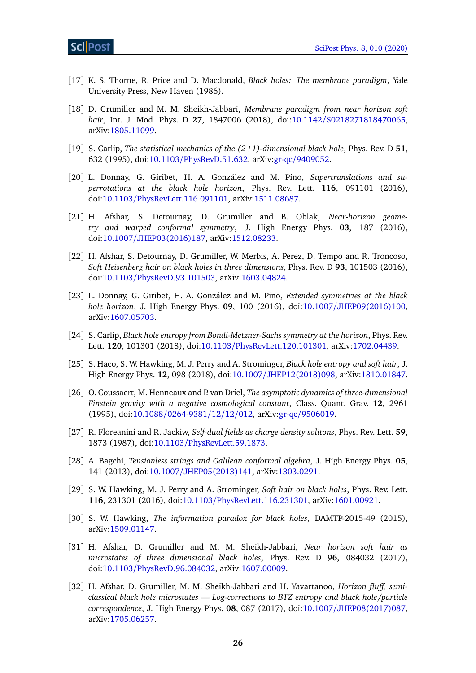- <span id="page-25-0"></span>[17] K. S. Thorne, R. Price and D. Macdonald, *Black holes: The membrane paradigm*, Yale University Press, New Haven (1986).
- <span id="page-25-1"></span>[18] D. Grumiller and M. M. Sheikh-Jabbari, *Membrane paradigm from near horizon soft hair*, Int. J. Mod. Phys. D **27**, 1847006 (2018), doi:10.1142/[S0218271818470065,](http://dx.doi.org/10.1142/S0218271818470065) arXiv[:1805.11099.](https://arxiv.org/abs/1805.11099)
- <span id="page-25-2"></span>[19] S. Carlip, *The statistical mechanics of the (2+1)-dimensional black hole*, Phys. Rev. D **51**, 632 (1995), doi:10.1103/[PhysRevD.51.632,](http://dx.doi.org/10.1103/PhysRevD.51.632) arXiv:gr-qc/[9409052.](https://arxiv.org/abs/gr-qc/9409052)
- <span id="page-25-3"></span>[20] L. Donnay, G. Giribet, H. A. González and M. Pino, *Supertranslations and superrotations at the black hole horizon*, Phys. Rev. Lett. **116**, 091101 (2016), doi:10.1103/[PhysRevLett.116.091101,](http://dx.doi.org/10.1103/PhysRevLett.116.091101) arXiv[:1511.08687.](https://arxiv.org/abs/1511.08687)
- [21] H. Afshar, S. Detournay, D. Grumiller and B. Oblak, *Near-horizon geometry and warped conformal symmetry*, J. High Energy Phys. **03**, 187 (2016), doi:10.1007/[JHEP03\(2016\)187,](http://dx.doi.org/10.1007/JHEP03(2016)187) arXiv[:1512.08233.](https://arxiv.org/abs/1512.08233)
- <span id="page-25-5"></span>[22] H. Afshar, S. Detournay, D. Grumiller, W. Merbis, A. Perez, D. Tempo and R. Troncoso, *Soft Heisenberg hair on black holes in three dimensions*, Phys. Rev. D **93**, 101503 (2016), doi:10.1103/[PhysRevD.93.101503,](http://dx.doi.org/10.1103/PhysRevD.93.101503) arXiv[:1603.04824.](https://arxiv.org/abs/1603.04824)
- [23] L. Donnay, G. Giribet, H. A. González and M. Pino, *Extended symmetries at the black hole horizon*, J. High Energy Phys. **09**, 100 (2016), doi:10.1007/[JHEP09\(2016\)100,](http://dx.doi.org/10.1007/JHEP09(2016)100) arXiv[:1607.05703.](https://arxiv.org/abs/1607.05703)
- [24] S. Carlip, *Black hole entropy from Bondi-Metzner-Sachs symmetry at the horizon*, Phys. Rev. Lett. **120**, 101301 (2018), doi:10.1103/[PhysRevLett.120.101301,](http://dx.doi.org/10.1103/PhysRevLett.120.101301) arXiv[:1702.04439.](https://arxiv.org/abs/1702.04439)
- <span id="page-25-4"></span>[25] S. Haco, S. W. Hawking, M. J. Perry and A. Strominger, *Black hole entropy and soft hair*, J. High Energy Phys. **12**, 098 (2018), doi:10.1007/[JHEP12\(2018\)098,](http://dx.doi.org/10.1007/JHEP12(2018)098) arXiv[:1810.01847.](https://arxiv.org/abs/1810.01847)
- <span id="page-25-6"></span>[26] O. Coussaert, M. Henneaux and P. van Driel, *The asymptotic dynamics of three-dimensional Einstein gravity with a negative cosmological constant*, Class. Quant. Grav. **12**, 2961 (1995), doi:10.1088/[0264-9381](http://dx.doi.org/10.1088/0264-9381/12/12/012)/12/12/012, arXiv:gr-qc/[9506019.](https://arxiv.org/abs/gr-qc/9506019)
- <span id="page-25-7"></span>[27] R. Floreanini and R. Jackiw, *Self-dual fields as charge density solitons*, Phys. Rev. Lett. **59**, 1873 (1987), doi:10.1103/[PhysRevLett.59.1873.](http://dx.doi.org/10.1103/PhysRevLett.59.1873)
- <span id="page-25-8"></span>[28] A. Bagchi, *Tensionless strings and Galilean conformal algebra*, J. High Energy Phys. **05**, 141 (2013), doi:10.1007/[JHEP05\(2013\)141,](http://dx.doi.org/10.1007/JHEP05(2013)141) arXiv[:1303.0291.](https://arxiv.org/abs/1303.0291)
- <span id="page-25-9"></span>[29] S. W. Hawking, M. J. Perry and A. Strominger, *Soft hair on black holes*, Phys. Rev. Lett. **116**, 231301 (2016), doi:10.1103/[PhysRevLett.116.231301,](http://dx.doi.org/10.1103/PhysRevLett.116.231301) arXiv[:1601.00921.](https://arxiv.org/abs/1601.00921)
- <span id="page-25-10"></span>[30] S. W. Hawking, *The information paradox for black holes*, DAMTP-2015-49 (2015), arXiv[:1509.01147.](https://arxiv.org/abs/1509.01147)
- <span id="page-25-11"></span>[31] H. Afshar, D. Grumiller and M. M. Sheikh-Jabbari, *Near horizon soft hair as microstates of three dimensional black holes*, Phys. Rev. D **96**, 084032 (2017), doi:10.1103/[PhysRevD.96.084032,](http://dx.doi.org/10.1103/PhysRevD.96.084032) arXiv[:1607.00009.](https://arxiv.org/abs/1607.00009)
- <span id="page-25-12"></span>[32] H. Afshar, D. Grumiller, M. M. Sheikh-Jabbari and H. Yavartanoo, *Horizon fluff, semiclassical black hole microstates — Log-corrections to BTZ entropy and black hole/particle correspondence*, J. High Energy Phys. **08**, 087 (2017), doi:10.1007/[JHEP08\(2017\)087,](http://dx.doi.org/10.1007/JHEP08(2017)087) arXiv[:1705.06257.](https://arxiv.org/abs/1705.06257)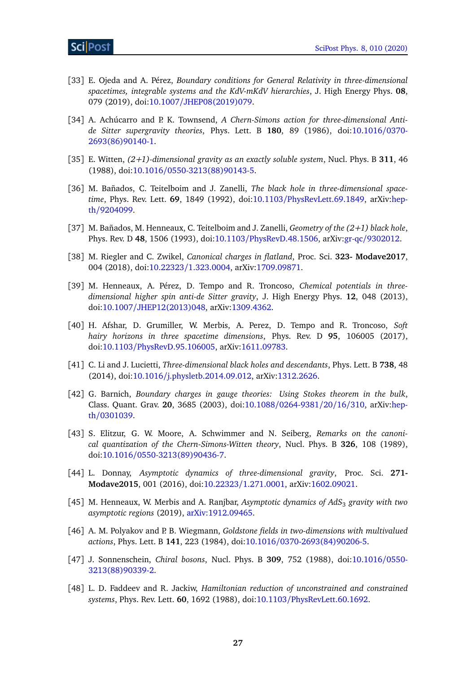- <span id="page-26-0"></span>[33] E. Ojeda and A. Pérez, *Boundary conditions for General Relativity in three-dimensional spacetimes, integrable systems and the KdV-mKdV hierarchies*, J. High Energy Phys. **08**, 079 (2019), doi:10.1007/[JHEP08\(2019\)079.](http://dx.doi.org/10.1007/JHEP08(2019)079)
- <span id="page-26-1"></span>[34] A. Achúcarro and P. K. Townsend, *A Chern-Simons action for three-dimensional Antide Sitter supergravity theories*, Phys. Lett. B **180**, 89 (1986), doi[:10.1016](http://dx.doi.org/10.1016/0370-2693(86)90140-1)/0370- [2693\(86\)90140-1.](http://dx.doi.org/10.1016/0370-2693(86)90140-1)
- <span id="page-26-2"></span>[35] E. Witten, *(2+1)-dimensional gravity as an exactly soluble system*, Nucl. Phys. B **311**, 46 (1988), doi:10.1016/[0550-3213\(88\)90143-5.](http://dx.doi.org/10.1016/0550-3213(88)90143-5)
- <span id="page-26-3"></span>[36] M. Bañados, C. Teitelboim and J. Zanelli, *The black hole in three-dimensional spacetime*, Phys. Rev. Lett. **69**, 1849 (1992), doi:10.1103/[PhysRevLett.69.1849,](http://dx.doi.org/10.1103/PhysRevLett.69.1849) arXiv[:hep](https://arxiv.org/abs/hep-th/9204099)th/[9204099.](https://arxiv.org/abs/hep-th/9204099)
- <span id="page-26-4"></span>[37] M. Bañados, M. Henneaux, C. Teitelboim and J. Zanelli, *Geometry of the (2+1) black hole*, Phys. Rev. D **48**, 1506 (1993), doi:10.1103/[PhysRevD.48.1506,](http://dx.doi.org/10.1103/PhysRevD.48.1506) arXiv:gr-qc/[9302012.](https://arxiv.org/abs/gr-qc/9302012)
- <span id="page-26-5"></span>[38] M. Riegler and C. Zwikel, *Canonical charges in flatland*, Proc. Sci. **323- Modave2017**, 004 (2018), doi:10.22323/[1.323.0004,](http://dx.doi.org/10.22323/1.323.0004) arXiv[:1709.09871.](https://arxiv.org/abs/1709.09871)
- <span id="page-26-6"></span>[39] M. Henneaux, A. Pérez, D. Tempo and R. Troncoso, *Chemical potentials in threedimensional higher spin anti-de Sitter gravity*, J. High Energy Phys. **12**, 048 (2013), doi:10.1007/[JHEP12\(2013\)048,](http://dx.doi.org/10.1007/JHEP12(2013)048) arXiv[:1309.4362.](https://arxiv.org/abs/1309.4362)
- <span id="page-26-7"></span>[40] H. Afshar, D. Grumiller, W. Merbis, A. Perez, D. Tempo and R. Troncoso, *Soft hairy horizons in three spacetime dimensions*, Phys. Rev. D **95**, 106005 (2017), doi:10.1103/[PhysRevD.95.106005,](http://dx.doi.org/10.1103/PhysRevD.95.106005) arXiv[:1611.09783.](https://arxiv.org/abs/1611.09783)
- <span id="page-26-8"></span>[41] C. Li and J. Lucietti, *Three-dimensional black holes and descendants*, Phys. Lett. B **738**, 48 (2014), doi:10.1016/[j.physletb.2014.09.012,](http://dx.doi.org/10.1016/j.physletb.2014.09.012) arXiv[:1312.2626.](https://arxiv.org/abs/1312.2626)
- <span id="page-26-9"></span>[42] G. Barnich, *Boundary charges in gauge theories: Using Stokes theorem in the bulk*, Class. Quant. Grav. **20**, 3685 (2003), doi:10.1088/[0264-9381](http://dx.doi.org/10.1088/0264-9381/20/16/310)/20/16/310, arXiv[:hep](https://arxiv.org/abs/hep-th/0301039)th/[0301039.](https://arxiv.org/abs/hep-th/0301039)
- <span id="page-26-10"></span>[43] S. Elitzur, G. W. Moore, A. Schwimmer and N. Seiberg, *Remarks on the canonical quantization of the Chern-Simons-Witten theory*, Nucl. Phys. B **326**, 108 (1989), doi:10.1016/[0550-3213\(89\)90436-7.](http://dx.doi.org/10.1016/0550-3213(89)90436-7)
- <span id="page-26-11"></span>[44] L. Donnay, *Asymptotic dynamics of three-dimensional gravity*, Proc. Sci. **271- Modave2015**, 001 (2016), doi:10.22323/[1.271.0001,](http://dx.doi.org/10.22323/1.271.0001) arXiv[:1602.09021.](https://arxiv.org/abs/1602.09021)
- <span id="page-26-12"></span>[45] M. Henneaux, W. Merbis and A. Ranjbar, *Asymptotic dynamics of AdS*<sup>3</sup> *gravity with two asymptotic regions* (2019), [arXiv:1912.09465.](https://arxiv.org/abs/1912.09465)
- [46] A. M. Polyakov and P. B. Wiegmann, *Goldstone fields in two-dimensions with multivalued actions*, Phys. Lett. B **141**, 223 (1984), doi:10.1016/[0370-2693\(84\)90206-5.](http://dx.doi.org/10.1016/0370-2693(84)90206-5)
- <span id="page-26-14"></span>[47] J. Sonnenschein, *Chiral bosons*, Nucl. Phys. B **309**, 752 (1988), doi[:10.1016](http://dx.doi.org/10.1016/0550-3213(88)90339-2)/0550- [3213\(88\)90339-2.](http://dx.doi.org/10.1016/0550-3213(88)90339-2)
- <span id="page-26-13"></span>[48] L. D. Faddeev and R. Jackiw, *Hamiltonian reduction of unconstrained and constrained systems*, Phys. Rev. Lett. **60**, 1692 (1988), doi:10.1103/[PhysRevLett.60.1692.](http://dx.doi.org/10.1103/PhysRevLett.60.1692)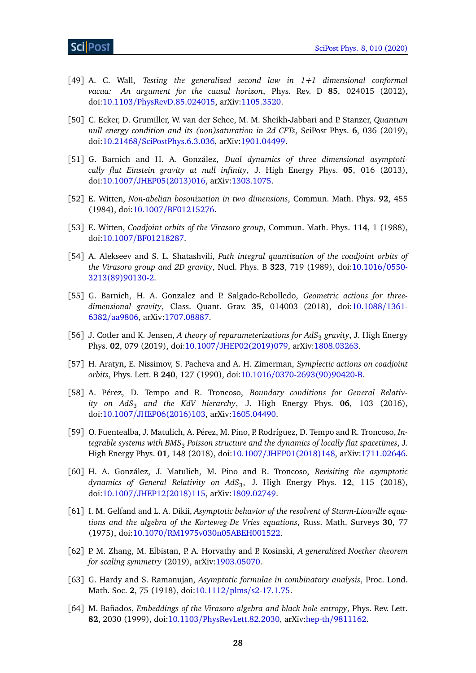- <span id="page-27-0"></span>[49] A. C. Wall, *Testing the generalized second law in 1+1 dimensional conformal vacua: An argument for the causal horizon*, Phys. Rev. D **85**, 024015 (2012), doi:10.1103/[PhysRevD.85.024015,](http://dx.doi.org/10.1103/PhysRevD.85.024015) arXiv[:1105.3520.](https://arxiv.org/abs/1105.3520)
- <span id="page-27-1"></span>[50] C. Ecker, D. Grumiller, W. van der Schee, M. M. Sheikh-Jabbari and P. Stanzer, *Quantum null energy condition and its (non)saturation in 2d CFTs*, SciPost Phys. **6**, 036 (2019), doi:10.21468/[SciPostPhys.6.3.036,](http://dx.doi.org/10.21468/SciPostPhys.6.3.036) arXiv[:1901.04499.](https://arxiv.org/abs/1901.04499)
- <span id="page-27-2"></span>[51] G. Barnich and H. A. González, *Dual dynamics of three dimensional asymptotically flat Einstein gravity at null infinity*, J. High Energy Phys. **05**, 016 (2013), doi:10.1007/[JHEP05\(2013\)016,](http://dx.doi.org/10.1007/JHEP05(2013)016) arXiv[:1303.1075.](https://arxiv.org/abs/1303.1075)
- <span id="page-27-3"></span>[52] E. Witten, *Non-abelian bosonization in two dimensions*, Commun. Math. Phys. **92**, 455 (1984), doi:10.1007/[BF01215276.](http://dx.doi.org/10.1007/BF01215276)
- <span id="page-27-4"></span>[53] E. Witten, *Coadjoint orbits of the Virasoro group*, Commun. Math. Phys. **114**, 1 (1988), doi:10.1007/[BF01218287.](http://dx.doi.org/10.1007/BF01218287)
- <span id="page-27-5"></span>[54] A. Alekseev and S. L. Shatashvili, *Path integral quantization of the coadjoint orbits of the Virasoro group and 2D gravity*, Nucl. Phys. B **323**, 719 (1989), doi[:10.1016](http://dx.doi.org/10.1016/0550-3213(89)90130-2)/0550- [3213\(89\)90130-2.](http://dx.doi.org/10.1016/0550-3213(89)90130-2)
- <span id="page-27-6"></span>[55] G. Barnich, H. A. Gonzalez and P. Salgado-Rebolledo, *Geometric actions for threedimensional gravity*, Class. Quant. Grav. **35**, 014003 (2018), doi[:10.1088](http://dx.doi.org/10.1088/1361-6382/aa9806)/1361- 6382/[aa9806,](http://dx.doi.org/10.1088/1361-6382/aa9806) arXiv[:1707.08887.](https://arxiv.org/abs/1707.08887)
- <span id="page-27-7"></span>[56] J. Cotler and K. Jensen, *A theory of reparameterizations for AdS*<sup>3</sup> *gravity*, J. High Energy Phys. **02**, 079 (2019), doi:10.1007/[JHEP02\(2019\)079,](http://dx.doi.org/10.1007/JHEP02(2019)079) arXiv[:1808.03263.](https://arxiv.org/abs/1808.03263)
- <span id="page-27-8"></span>[57] H. Aratyn, E. Nissimov, S. Pacheva and A. H. Zimerman, *Symplectic actions on coadjoint orbits*, Phys. Lett. B **240**, 127 (1990), doi:10.1016/[0370-2693\(90\)90420-B.](http://dx.doi.org/10.1016/0370-2693(90)90420-B)
- <span id="page-27-9"></span>[58] A. Pérez, D. Tempo and R. Troncoso, *Boundary conditions for General Relativity on AdS*<sup>3</sup> *and the KdV hierarchy*, J. High Energy Phys. **06**, 103 (2016), doi:10.1007/[JHEP06\(2016\)103,](http://dx.doi.org/10.1007/JHEP06(2016)103) arXiv[:1605.04490.](https://arxiv.org/abs/1605.04490)
- <span id="page-27-10"></span>[59] O. Fuentealba, J. Matulich, A. Pérez, M. Pino, P. Rodríguez, D. Tempo and R. Troncoso, *Integrable systems with BMS*<sup>3</sup> *Poisson structure and the dynamics of locally flat spacetimes*, J. High Energy Phys. **01**, 148 (2018), doi:10.1007/[JHEP01\(2018\)148,](http://dx.doi.org/10.1007/JHEP01(2018)148) arXiv[:1711.02646.](https://arxiv.org/abs/1711.02646)
- <span id="page-27-11"></span>[60] H. A. González, J. Matulich, M. Pino and R. Troncoso, *Revisiting the asymptotic dynamics of General Relativity on AdS*<sup>3</sup> , J. High Energy Phys. **12**, 115 (2018), doi:10.1007/[JHEP12\(2018\)115,](http://dx.doi.org/10.1007/JHEP12(2018)115) arXiv[:1809.02749.](https://arxiv.org/abs/1809.02749)
- <span id="page-27-12"></span>[61] I. M. Gelfand and L. A. Dikii, *Asymptotic behavior of the resolvent of Sturm-Liouville equations and the algebra of the Korteweg-De Vries equations*, Russ. Math. Surveys **30**, 77 (1975), doi:10.1070/[RM1975v030n05ABEH001522.](http://dx.doi.org/10.1070/RM1975v030n05ABEH001522)
- <span id="page-27-13"></span>[62] P. M. Zhang, M. Elbistan, P. A. Horvathy and P. Kosinski, *A generalized Noether theorem for scaling symmetry* (2019), arXiv[:1903.05070.](https://arxiv.org/abs/1903.05070)
- <span id="page-27-14"></span>[63] G. Hardy and S. Ramanujan, *Asymptotic formulae in combinatory analysis*, Proc. Lond. Math. Soc. **2**, 75 (1918), doi:10.1112/plms/[s2-17.1.75.](http://dx.doi.org/10.1112/plms/s2-17.1.75)
- <span id="page-27-15"></span>[64] M. Bañados, *Embeddings of the Virasoro algebra and black hole entropy*, Phys. Rev. Lett. **82**, 2030 (1999), doi:10.1103/[PhysRevLett.82.2030,](http://dx.doi.org/10.1103/PhysRevLett.82.2030) arXiv:hep-th/[9811162.](https://arxiv.org/abs/hep-th/9811162)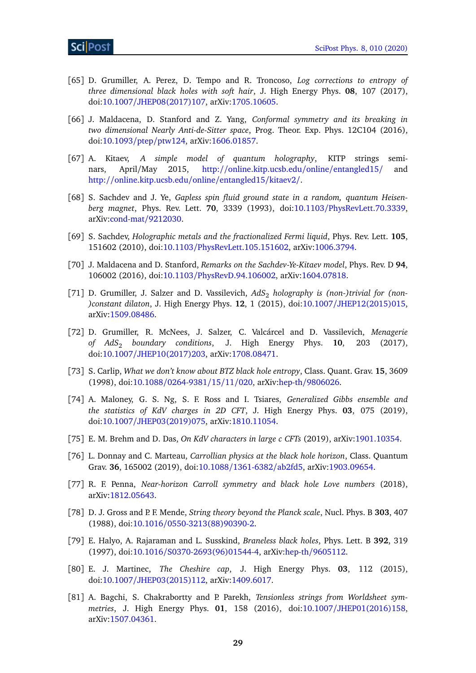- <span id="page-28-0"></span>[65] D. Grumiller, A. Perez, D. Tempo and R. Troncoso, *Log corrections to entropy of three dimensional black holes with soft hair*, J. High Energy Phys. **08**, 107 (2017), doi:10.1007/[JHEP08\(2017\)107,](http://dx.doi.org/10.1007/JHEP08(2017)107) arXiv[:1705.10605.](https://arxiv.org/abs/1705.10605)
- <span id="page-28-1"></span>[66] J. Maldacena, D. Stanford and Z. Yang, *Conformal symmetry and its breaking in two dimensional Nearly Anti-de-Sitter space*, Prog. Theor. Exp. Phys. 12C104 (2016), doi[:10.1093](http://dx.doi.org/10.1093/ptep/ptw124)/ptep/ptw124, arXiv[:1606.01857.](https://arxiv.org/abs/1606.01857)
- <span id="page-28-2"></span>[67] A. Kitaev, *A simple model of quantum holography*, KITP strings seminars, April/May 2015, http://[online.kitp.ucsb.edu](http://online.kitp.ucsb.edu/online/entangled15/)/online/entangled15/ and http://[online.kitp.ucsb.edu](http://online.kitp.ucsb.edu/online/entangled15/kitaev2/)/online/entangled15/kitaev2/.
- [68] S. Sachdev and J. Ye, *Gapless spin fluid ground state in a random, quantum Heisenberg magnet*, Phys. Rev. Lett. **70**, 3339 (1993), doi:10.1103/[PhysRevLett.70.3339,](http://dx.doi.org/10.1103/PhysRevLett.70.3339) arXiv[:cond-mat](https://arxiv.org/abs/cond-mat/9212030)/9212030.
- [69] S. Sachdev, *Holographic metals and the fractionalized Fermi liquid*, Phys. Rev. Lett. **105**, 151602 (2010), doi:10.1103/[PhysRevLett.105.151602,](http://dx.doi.org/10.1103/PhysRevLett.105.151602) arXiv[:1006.3794.](https://arxiv.org/abs/1006.3794)
- <span id="page-28-3"></span>[70] J. Maldacena and D. Stanford, *Remarks on the Sachdev-Ye-Kitaev model*, Phys. Rev. D **94**, 106002 (2016), doi:10.1103/[PhysRevD.94.106002,](http://dx.doi.org/10.1103/PhysRevD.94.106002) arXiv[:1604.07818.](https://arxiv.org/abs/1604.07818)
- <span id="page-28-4"></span>[71] D. Grumiller, J. Salzer and D. Vassilevich, AdS<sub>2</sub> holography is (non-)trivial for (non-*)constant dilaton*, J. High Energy Phys. **12**, 1 (2015), doi:10.1007/[JHEP12\(2015\)015,](http://dx.doi.org/10.1007/JHEP12(2015)015) arXiv[:1509.08486.](https://arxiv.org/abs/1509.08486)
- <span id="page-28-5"></span>[72] D. Grumiller, R. McNees, J. Salzer, C. Valcárcel and D. Vassilevich, *Menagerie of AdS*<sup>2</sup> *boundary conditions*, J. High Energy Phys. **10**, 203 (2017), doi:10.1007/[JHEP10\(2017\)203,](http://dx.doi.org/10.1007/JHEP10(2017)203) arXiv[:1708.08471.](https://arxiv.org/abs/1708.08471)
- <span id="page-28-6"></span>[73] S. Carlip, *What we don't know about BTZ black hole entropy*, Class. Quant. Grav. **15**, 3609 (1998), doi:10.1088/[0264-9381](http://dx.doi.org/10.1088/0264-9381/15/11/020)/15/11/020, arXiv:hep-th/[9806026.](https://arxiv.org/abs/hep-th/9806026)
- <span id="page-28-7"></span>[74] A. Maloney, G. S. Ng, S. F. Ross and I. Tsiares, *Generalized Gibbs ensemble and the statistics of KdV charges in 2D CFT*, J. High Energy Phys. **03**, 075 (2019), doi:10.1007/[JHEP03\(2019\)075,](http://dx.doi.org/10.1007/JHEP03(2019)075) arXiv[:1810.11054.](https://arxiv.org/abs/1810.11054)
- <span id="page-28-8"></span>[75] E. M. Brehm and D. Das, *On KdV characters in large c CFTs* (2019), arXiv[:1901.10354.](https://arxiv.org/abs/1901.10354)
- <span id="page-28-9"></span>[76] L. Donnay and C. Marteau, *Carrollian physics at the black hole horizon*, Class. Quantum Grav. **36**, 165002 (2019), doi:10.1088/[1361-6382](http://dx.doi.org/10.1088/1361-6382/ab2fd5)/ab2fd5, arXiv[:1903.09654.](https://arxiv.org/abs/1903.09654)
- <span id="page-28-10"></span>[77] R. F. Penna, *Near-horizon Carroll symmetry and black hole Love numbers* (2018), arXiv[:1812.05643.](https://arxiv.org/abs/1812.05643)
- <span id="page-28-11"></span>[78] D. J. Gross and P. F. Mende, *String theory beyond the Planck scale*, Nucl. Phys. B 303, 407 (1988), doi:10.1016/[0550-3213\(88\)90390-2.](http://dx.doi.org/10.1016/0550-3213(88)90390-2)
- [79] E. Halyo, A. Rajaraman and L. Susskind, *Braneless black holes*, Phys. Lett. B **392**, 319 (1997), doi:10.1016/[S0370-2693\(96\)01544-4,](http://dx.doi.org/10.1016/S0370-2693(96)01544-4) arXiv:hep-th/[9605112.](https://arxiv.org/abs/hep-th/9605112)
- [80] E. J. Martinec, *The Cheshire cap*, J. High Energy Phys. **03**, 112 (2015), doi:10.1007/[JHEP03\(2015\)112,](http://dx.doi.org/10.1007/JHEP03(2015)112) arXiv[:1409.6017.](https://arxiv.org/abs/1409.6017)
- <span id="page-28-12"></span>[81] A. Bagchi, S. Chakrabortty and P. Parekh, *Tensionless strings from Worldsheet symmetries*, J. High Energy Phys. **01**, 158 (2016), doi:10.1007/[JHEP01\(2016\)158,](http://dx.doi.org/10.1007/JHEP01(2016)158) arXiv[:1507.04361.](https://arxiv.org/abs/1507.04361)